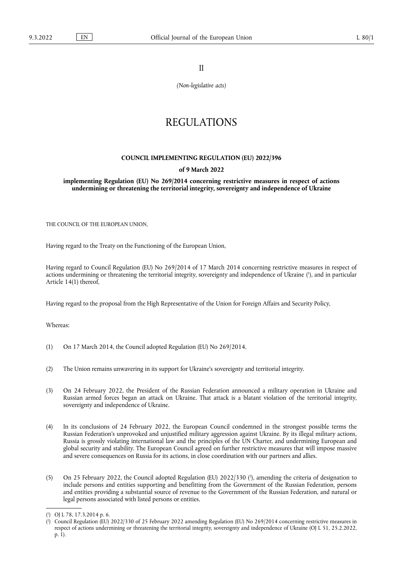II

*(Non-legislative acts)*

## REGULATIONS

## **COUNCIL IMPLEMENTING REGULATION (EU) 2022/396**

## **of 9 March 2022**

**implementing Regulation (EU) No 269/2014 concerning restrictive measures in respect of actions undermining or threatening the territorial integrity, sovereignty and independence of Ukraine** 

THE COUNCIL OF THE EUROPEAN UNION,

Having regard to the Treaty on the Functioning of the European Union,

<span id="page-0-2"></span>Having regard to Council Regulation (EU) No 269/2014 of 17 March 2014 concerning restrictive measures in respect of actions undermining or threatening the territorial integrity, sovereignty and independence of Ukraine ( 1 [\),](#page-0-0) and in particular Article 14(1) thereof,

Having regard to the proposal from the High Representative of the Union for Foreign Affairs and Security Policy,

Whereas:

- (1) On 17 March 2014, the Council adopted Regulation (EU) No 269/2014.
- (2) The Union remains unwavering in its support for Ukraine's sovereignty and territorial integrity.
- (3) On 24 February 2022, the President of the Russian Federation announced a military operation in Ukraine and Russian armed forces began an attack on Ukraine. That attack is a blatant violation of the territorial integrity, sovereignty and independence of Ukraine.
- (4) In its conclusions of 24 February 2022, the European Council condemned in the strongest possible terms the Russian Federation's unprovoked and unjustified military aggression against Ukraine. By its illegal military actions, Russia is grossly violating international law and the principles of the UN Charter, and undermining European and global security and stability. The European Council agreed on further restrictive measures that will impose massive and severe consequences on Russia for its actions, in close coordination with our partners and allies.
- <span id="page-0-3"></span>(5) On 25 February 2022, the Council adopted Regulation (EU) 2022/330 ( $\degree$ [\),](#page-0-1) amending the criteria of designation to include persons and entities supporting and benefitting from the Government of the Russian Federation, persons and entities providing a substantial source of revenue to the Government of the Russian Federation, and natural or legal persons associated with listed persons or entities.

<span id="page-0-0"></span>[<sup>\(</sup>](#page-0-2) 1 ) OJ L 78, 17.3.2014 p. 6.

<span id="page-0-1"></span>[<sup>\(</sup>](#page-0-3) 2 ) Council Regulation (EU) 2022/330 of 25 February 2022 amending Regulation (EU) No 269/2014 concerning restrictive measures in respect of actions undermining or threatening the territorial integrity, sovereignty and independence of Ukraine (OJ L 51, 25.2.2022, p. 1).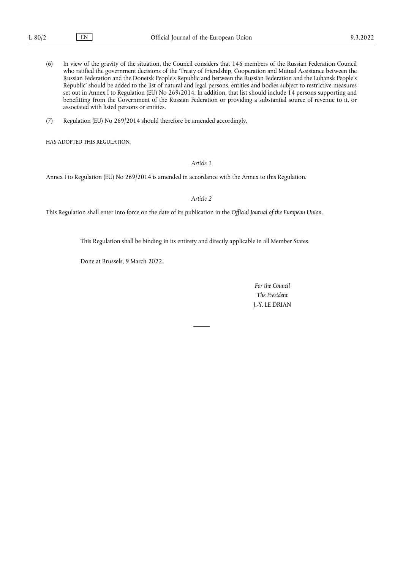- (6) In view of the gravity of the situation, the Council considers that 146 members of the Russian Federation Council who ratified the government decisions of the 'Treaty of Friendship, Cooperation and Mutual Assistance between the Russian Federation and the Donetsk People's Republic and between the Russian Federation and the Luhansk People's Republic' should be added to the list of natural and legal persons, entities and bodies subject to restrictive measures set out in Annex I to Regulation (EU) No 269/2014. In addition, that list should include 14 persons supporting and benefitting from the Government of the Russian Federation or providing a substantial source of revenue to it, or associated with listed persons or entities.
- (7) Regulation (EU) No 269/2014 should therefore be amended accordingly,

HAS ADOPTED THIS REGULATION:

*Article 1*

Annex I to Regulation (EU) No 269/2014 is amended in accordance with the Annex to this Regulation.

*Article 2*

This Regulation shall enter into force on the date of its publication in the *Official Journal of the European Union*.

This Regulation shall be binding in its entirety and directly applicable in all Member States.

Done at Brussels, 9 March 2022.

*For the Council The President* J.-Y. LE DRIAN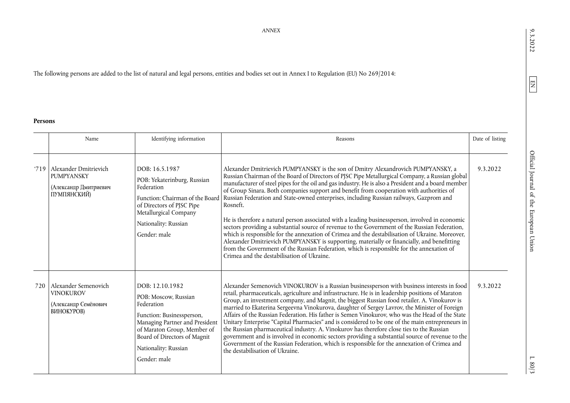## The following persons are added to the list of natural and legal persons, entities and bodies set out in Annex I to Regulation (EU) No 269/2014:

**Persons**

|     | Name                                                                                      | Identifying information                                                                                                                                                                                                     | Reasons                                                                                                                                                                                                                                                                                                                                                                                                                                                                                                                                                                                                                                                                                                                                                                                                                                                                                                                                                                                                                                                                         | Date of listing |
|-----|-------------------------------------------------------------------------------------------|-----------------------------------------------------------------------------------------------------------------------------------------------------------------------------------------------------------------------------|---------------------------------------------------------------------------------------------------------------------------------------------------------------------------------------------------------------------------------------------------------------------------------------------------------------------------------------------------------------------------------------------------------------------------------------------------------------------------------------------------------------------------------------------------------------------------------------------------------------------------------------------------------------------------------------------------------------------------------------------------------------------------------------------------------------------------------------------------------------------------------------------------------------------------------------------------------------------------------------------------------------------------------------------------------------------------------|-----------------|
|     | '719   Alexander Dmitrievich<br><b>PUMPYANSKY</b><br>(Александр Дмитриевич<br>ПУМПЯНСКИЙ) | DOB: 16.5.1987<br>POB: Yekaterinburg, Russian<br>Federation<br>of Directors of PJSC Pipe<br>Metallurgical Company<br>Nationality: Russian<br>Gender: male                                                                   | Alexander Dmitrievich PUMPYANSKY is the son of Dmitry Alexandrovich PUMPYANSKY, a<br>Russian Chairman of the Board of Directors of PJSC Pipe Metallurgical Company, a Russian global<br>manufacturer of steel pipes for the oil and gas industry. He is also a President and a board member<br>of Group Sinara. Both companies support and benefit from cooperation with authorities of<br>Function: Chairman of the Board Russian Federation and State-owned enterprises, including Russian railways, Gazprom and<br>Rosneft.<br>He is therefore a natural person associated with a leading businessperson, involved in economic<br>sectors providing a substantial source of revenue to the Government of the Russian Federation,<br>which is responsible for the annexation of Crimea and the destabilisation of Ukraine. Moreover,<br>Alexander Dmitrievich PUMPYANSKY is supporting, materially or financially, and benefitting<br>from the Government of the Russian Federation, which is responsible for the annexation of<br>Crimea and the destabilisation of Ukraine. | 9.3.2022        |
| 720 | Alexander Semenovich<br><b>VINOKUROV</b><br>(Александр Семёнович<br>ВИНОКУРОВ)            | DOB: 12.10.1982<br>POB: Moscow, Russian<br>Federation<br>Function: Businessperson,<br>Managing Partner and President<br>of Maraton Group, Member of<br>Board of Directors of Magnit<br>Nationality: Russian<br>Gender: male | Alexander Semenovich VINOKUROV is a Russian businessperson with business interests in food<br>retail, pharmaceuticals, agriculture and infrastructure. He is in leadership positions of Maraton<br>Group, an investment company, and Magnit, the biggest Russian food retailer. A. Vinokurov is<br>married to Ekaterina Sergeevna Vinokurova, daughter of Sergey Lavrov, the Minister of Foreign<br>Affairs of the Russian Federation. His father is Semen Vinokurov, who was the Head of the State<br>Unitary Enterprise "Capital Pharmacies" and is considered to be one of the main entrepreneurs in<br>the Russian pharmaceutical industry. A. Vinokurov has therefore close ties to the Russian<br>government and is involved in economic sectors providing a substantial source of revenue to the<br>Government of the Russian Federation, which is responsible for the annexation of Crimea and<br>the destabilisation of Ukraine.                                                                                                                                       | 9.3.2022        |

 $9.3.2022$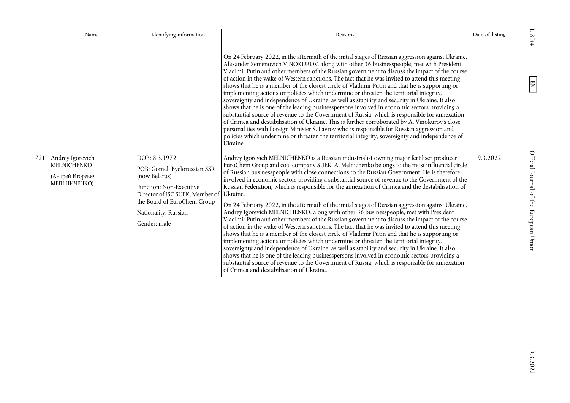|     | Name                                                                | Identifying information                                                                                                                                                                             | Reasons                                                                                                                                                                                                                                                                                                                                                                                                                                                                                                                                                                                                                                                                                                                                                                                                                                                                                                                                                                                                                                                                                                                                                                                                                                                                                                                                                                                                                                                    | Date of listing |
|-----|---------------------------------------------------------------------|-----------------------------------------------------------------------------------------------------------------------------------------------------------------------------------------------------|------------------------------------------------------------------------------------------------------------------------------------------------------------------------------------------------------------------------------------------------------------------------------------------------------------------------------------------------------------------------------------------------------------------------------------------------------------------------------------------------------------------------------------------------------------------------------------------------------------------------------------------------------------------------------------------------------------------------------------------------------------------------------------------------------------------------------------------------------------------------------------------------------------------------------------------------------------------------------------------------------------------------------------------------------------------------------------------------------------------------------------------------------------------------------------------------------------------------------------------------------------------------------------------------------------------------------------------------------------------------------------------------------------------------------------------------------------|-----------------|
|     |                                                                     |                                                                                                                                                                                                     | On 24 February 2022, in the aftermath of the initial stages of Russian aggression against Ukraine,<br>Alexander Semenovich VINOKUROV, along with other 36 businesspeople, met with President<br>Vladimir Putin and other members of the Russian government to discuss the impact of the course<br>of action in the wake of Western sanctions. The fact that he was invited to attend this meeting<br>shows that he is a member of the closest circle of Vladimir Putin and that he is supporting or<br>implementing actions or policies which undermine or threaten the territorial integrity,<br>sovereignty and independence of Ukraine, as well as stability and security in Ukraine. It also<br>shows that he is one of the leading businesspersons involved in economic sectors providing a<br>substantial source of revenue to the Government of Russia, which is responsible for annexation<br>of Crimea and destabilisation of Ukraine. This is further corroborated by A. Vinokurov's close<br>personal ties with Foreign Minister S. Lavrov who is responsible for Russian aggression and<br>policies which undermine or threaten the territorial integrity, sovereignty and independence of<br>Ukraine.                                                                                                                                                                                                                                         |                 |
| 721 | Andrey Igorevich<br>MELNICHENKO<br>(Андрей Игоревич<br>МЕЛЬНИЧЕНКО) | DOB: 8.3.1972<br>POB: Gomel, Byelorussian SSR<br>(now Belarus)<br>Function: Non-Executive<br>Director of JSC SUEK, Member of<br>the Board of EuroChem Group<br>Nationality: Russian<br>Gender: male | Andrey Igorevich MELNICHENKO is a Russian industrialist owning major fertiliser producer<br>EuroChem Group and coal company SUEK. A. Melnichenko belongs to the most influential circle<br>of Russian businesspeople with close connections to the Russian Government. He is therefore<br>involved in economic sectors providing a substantial source of revenue to the Government of the<br>Russian Federation, which is responsible for the annexation of Crimea and the destabilisation of<br>Ukraine.<br>On 24 February 2022, in the aftermath of the initial stages of Russian aggression against Ukraine,<br>Andrey Igorevich MELNICHENKO, along with other 36 businesspeople, met with President<br>Vladimir Putin and other members of the Russian government to discuss the impact of the course<br>of action in the wake of Western sanctions. The fact that he was invited to attend this meeting<br>shows that he is a member of the closest circle of Vladimir Putin and that he is supporting or<br>implementing actions or policies which undermine or threaten the territorial integrity,<br>sovereignty and independence of Ukraine, as well as stability and security in Ukraine. It also<br>shows that he is one of the leading businesspersons involved in economic sectors providing a<br>substantial source of revenue to the Government of Russia, which is responsible for annexation<br>of Crimea and destabilisation of Ukraine. | 9.3.2022        |

 $9.3.2022$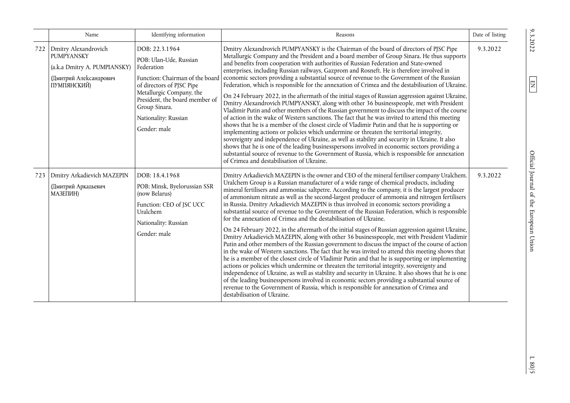|     | Name                                                                                                               | Identifying information                                                                                                                                                                                                                       | Reasons                                                                                                                                                                                                                                                                                                                                                                                                                                                                                                                                                                                                                                                                                                                                                                                                                                                                                                                                                                                                                                                                                                                                                                                                                                                                                                                                                                                                                                                                                                                                                                                                       | Date of listing |
|-----|--------------------------------------------------------------------------------------------------------------------|-----------------------------------------------------------------------------------------------------------------------------------------------------------------------------------------------------------------------------------------------|---------------------------------------------------------------------------------------------------------------------------------------------------------------------------------------------------------------------------------------------------------------------------------------------------------------------------------------------------------------------------------------------------------------------------------------------------------------------------------------------------------------------------------------------------------------------------------------------------------------------------------------------------------------------------------------------------------------------------------------------------------------------------------------------------------------------------------------------------------------------------------------------------------------------------------------------------------------------------------------------------------------------------------------------------------------------------------------------------------------------------------------------------------------------------------------------------------------------------------------------------------------------------------------------------------------------------------------------------------------------------------------------------------------------------------------------------------------------------------------------------------------------------------------------------------------------------------------------------------------|-----------------|
| 722 | Dmitry Alexandrovich<br><b>PUMPYANSKY</b><br>(a.k.a Dmitry A. PUMPIANSKY)<br>(Дмитрий Александрович<br>ПУМПЯНСКИЙ) | DOB: 22.3.1964<br>POB: Ulan-Ude, Russian<br>Federation<br>Function: Chairman of the board<br>of directors of PJSC Pipe<br>Metallurgic Company, the<br>President, the board member of<br>Group Sinara.<br>Nationality: Russian<br>Gender: male | Dmitry Alexandrovich PUMPYANSKY is the Chairman of the board of directors of PJSC Pipe<br>Metallurgic Company and the President and a board member of Group Sinara. He thus supports<br>and benefits from cooperation with authorities of Russian Federation and State-owned<br>enterprises, including Russian railways, Gazprom and Rosneft. He is therefore involved in<br>economic sectors providing a substantial source of revenue to the Government of the Russian<br>Federation, which is responsible for the annexation of Crimea and the destabilisation of Ukraine.<br>On 24 February 2022, in the aftermath of the initial stages of Russian aggression against Ukraine,<br>Dmitry Alexandrovich PUMPYANSKY, along with other 36 businesspeople, met with President<br>Vladimir Putin and other members of the Russian government to discuss the impact of the course<br>of action in the wake of Western sanctions. The fact that he was invited to attend this meeting<br>shows that he is a member of the closest circle of Vladimir Putin and that he is supporting or<br>implementing actions or policies which undermine or threaten the territorial integrity,<br>sovereignty and independence of Ukraine, as well as stability and security in Ukraine. It also<br>shows that he is one of the leading businesspersons involved in economic sectors providing a<br>substantial source of revenue to the Government of Russia, which is responsible for annexation<br>of Crimea and destabilisation of Ukraine.                                                                             | 9.3.2022        |
| 723 | Dmitry Arkadievich MAZEPIN<br>(Дмитрий Аркадьевич<br>МАЗЕПИН)                                                      | DOB: 18.4.1968<br>POB: Minsk, Byelorussian SSR<br>(now Belarus)<br>Function: CEO of JSC UCC<br>Uralchem<br>Nationality: Russian<br>Gender: male                                                                                               | Dmitry Arkadievich MAZEPIN is the owner and CEO of the mineral fertiliser company Uralchem.<br>Uralchem Group is a Russian manufacturer of a wide range of chemical products, including<br>mineral fertilisers and ammoniac saltpetre. According to the company, it is the largest producer<br>of ammonium nitrate as well as the second-largest producer of ammonia and nitrogen fertilisers<br>in Russia. Dmitry Arkadievich MAZEPIN is thus involved in economic sectors providing a<br>substantial source of revenue to the Government of the Russian Federation, which is responsible<br>for the annexation of Crimea and the destabilisation of Ukraine.<br>On 24 February 2022, in the aftermath of the initial stages of Russian aggression against Ukraine,<br>Dmitry Arkadievich MAZEPIN, along with other 36 businesspeople, met with President Vladimir<br>Putin and other members of the Russian government to discuss the impact of the course of action<br>in the wake of Western sanctions. The fact that he was invited to attend this meeting shows that<br>he is a member of the closest circle of Vladimir Putin and that he is supporting or implementing<br>actions or policies which undermine or threaten the territorial integrity, sovereignty and<br>independence of Ukraine, as well as stability and security in Ukraine. It also shows that he is one<br>of the leading businesspersons involved in economic sectors providing a substantial source of<br>revenue to the Government of Russia, which is responsible for annexation of Crimea and<br>destabilisation of Ukraine. | 9.3.2022        |

 $1.80/5$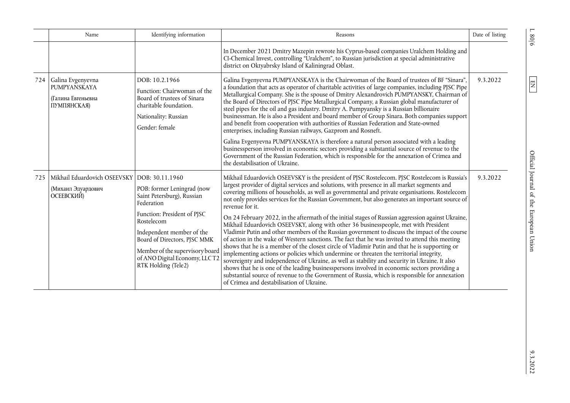|     | Name                                                                               | Identifying information                                                                                                                                                                                                                                                     | Reasons                                                                                                                                                                                                                                                                                                                                                                                                                                                                                                                                                                                                                                                                                                                                                                                                                                                                                                                                                                                                                                                                                                                                                                                                                                                                                                                                                                 | Date of listing |
|-----|------------------------------------------------------------------------------------|-----------------------------------------------------------------------------------------------------------------------------------------------------------------------------------------------------------------------------------------------------------------------------|-------------------------------------------------------------------------------------------------------------------------------------------------------------------------------------------------------------------------------------------------------------------------------------------------------------------------------------------------------------------------------------------------------------------------------------------------------------------------------------------------------------------------------------------------------------------------------------------------------------------------------------------------------------------------------------------------------------------------------------------------------------------------------------------------------------------------------------------------------------------------------------------------------------------------------------------------------------------------------------------------------------------------------------------------------------------------------------------------------------------------------------------------------------------------------------------------------------------------------------------------------------------------------------------------------------------------------------------------------------------------|-----------------|
|     |                                                                                    |                                                                                                                                                                                                                                                                             | In December 2021 Dmitry Mazepin rewrote his Cyprus-based companies Uralchem Holding and<br>CI-Chemical Invest, controlling "Uralchem", to Russian jurisdiction at special administrative<br>district on Oktyabrsky Island of Kaliningrad Oblast.                                                                                                                                                                                                                                                                                                                                                                                                                                                                                                                                                                                                                                                                                                                                                                                                                                                                                                                                                                                                                                                                                                                        |                 |
| 724 | Galina Evgenyevna<br>PUMPYANSKAYA<br>(Галина Евгеньевна<br>ПУМПЯНСКАЯ)             | DOB: 10.2.1966<br>Function: Chairwoman of the<br>Board of trustees of Sinara<br>charitable foundation.<br>Nationality: Russian<br>Gender: female                                                                                                                            | Galina Evgenyevna PUMPYANSKAYA is the Chairwoman of the Board of trustees of BF "Sinara",<br>a foundation that acts as operator of charitable activities of large companies, including PJSC Pipe<br>Metallurgical Company. She is the spouse of Dmitry Alexandrovich PUMPYANSKY, Chairman of<br>the Board of Directors of PJSC Pipe Metallurgical Company, a Russian global manufacturer of<br>steel pipes for the oil and gas industry. Dmitry A. Pumpyansky is a Russian billionaire<br>businessman. He is also a President and board member of Group Sinara. Both companies support<br>and benefit from cooperation with authorities of Russian Federation and State-owned<br>enterprises, including Russian railways, Gazprom and Rosneft.                                                                                                                                                                                                                                                                                                                                                                                                                                                                                                                                                                                                                          | 9.3.2022        |
|     |                                                                                    |                                                                                                                                                                                                                                                                             | Galina Evgenyevna PUMPYANSKAYA is therefore a natural person associated with a leading<br>businessperson involved in economic sectors providing a substantial source of revenue to the<br>Government of the Russian Federation, which is responsible for the annexation of Crimea and<br>the destabilisation of Ukraine.                                                                                                                                                                                                                                                                                                                                                                                                                                                                                                                                                                                                                                                                                                                                                                                                                                                                                                                                                                                                                                                |                 |
| 725 | Mikhail Eduardovich OSEEVSKY   DOB: 30.11.1960<br>(Михаил Эдуардович<br>ОСЕЕВСКИЙ) | POB: former Leningrad (now<br>Saint Petersburg), Russian<br>Federation<br>Function: President of PJSC<br>Rostelecom<br>Independent member of the<br>Board of Directors, PJSC MMK<br>Member of the supervisory board<br>of ANO Digital Economy, LLCT.<br>RTK Holding (Tele2) | Mikhail Eduardovich OSEEVSKY is the president of PJSC Rostelecom. PJSC Rostelecom is Russia's<br>largest provider of digital services and solutions, with presence in all market segments and<br>covering millions of households, as well as governmental and private organisations. Rostelecom<br>not only provides services for the Russian Government, but also generates an important source of<br>revenue for it.<br>On 24 February 2022, in the aftermath of the initial stages of Russian aggression against Ukraine,<br>Mikhail Eduardovich OSEEVSKY, along with other 36 businesspeople, met with President<br>Vladimir Putin and other members of the Russian government to discuss the impact of the course<br>of action in the wake of Western sanctions. The fact that he was invited to attend this meeting<br>shows that he is a member of the closest circle of Vladimir Putin and that he is supporting or<br>implementing actions or policies which undermine or threaten the territorial integrity,<br>sovereignty and independence of Ukraine, as well as stability and security in Ukraine. It also<br>shows that he is one of the leading businesspersons involved in economic sectors providing a<br>substantial source of revenue to the Government of Russia, which is responsible for annexation<br>of Crimea and destabilisation of Ukraine. | 9.3.2022        |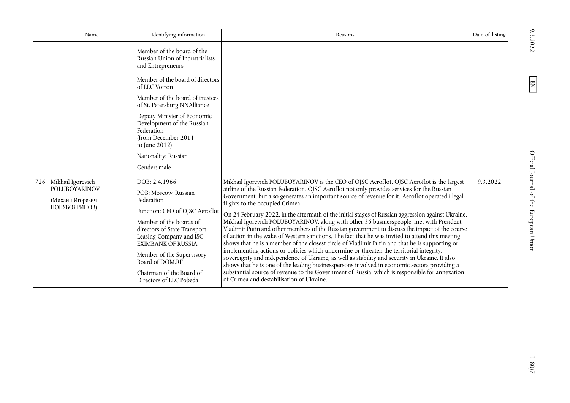|     | Name                                                                           | Identifying information                                                                                                                                                                                                                                                                                                                                               | Reasons                                                                                                                                                                                                                                                                                                                                                                                                                                                                                                                                                                                                                                                                                                                                                                                                                                                                                                                                                                                                                                                                                                                                                                                                                                                                            | Date of listing |
|-----|--------------------------------------------------------------------------------|-----------------------------------------------------------------------------------------------------------------------------------------------------------------------------------------------------------------------------------------------------------------------------------------------------------------------------------------------------------------------|------------------------------------------------------------------------------------------------------------------------------------------------------------------------------------------------------------------------------------------------------------------------------------------------------------------------------------------------------------------------------------------------------------------------------------------------------------------------------------------------------------------------------------------------------------------------------------------------------------------------------------------------------------------------------------------------------------------------------------------------------------------------------------------------------------------------------------------------------------------------------------------------------------------------------------------------------------------------------------------------------------------------------------------------------------------------------------------------------------------------------------------------------------------------------------------------------------------------------------------------------------------------------------|-----------------|
|     |                                                                                | Member of the board of the<br>Russian Union of Industrialists<br>and Entrepreneurs<br>Member of the board of directors<br>of LLC Votron<br>Member of the board of trustees<br>of St. Petersburg NNAlliance<br>Deputy Minister of Economic<br>Development of the Russian<br>Federation<br>(from December 2011<br>to June 2012)<br>Nationality: Russian<br>Gender: male |                                                                                                                                                                                                                                                                                                                                                                                                                                                                                                                                                                                                                                                                                                                                                                                                                                                                                                                                                                                                                                                                                                                                                                                                                                                                                    |                 |
| 726 | Mikhail Igorevich<br><b>POLUBOYARINOV</b><br>(Михаил Игоревич<br>ПОЛУБОЯРИНОВ) | DOB: 2.4.1966<br>POB: Moscow, Russian<br>Federation<br>Function: CEO of OJSC Aeroflot<br>Member of the boards of<br>directors of State Transport<br>Leasing Company and JSC<br><b>EXIMBANK OF RUSSIA</b><br>Member of the Supervisory<br>Board of DOM.RF<br>Chairman of the Board of<br>Directors of LLC Pobeda                                                       | Mikhail Igorevich POLUBOYARINOV is the CEO of OJSC Aeroflot. OJSC Aeroflot is the largest<br>airline of the Russian Federation. OJSC Aeroflot not only provides services for the Russian<br>Government, but also generates an important source of revenue for it. Aeroflot operated illegal<br>flights to the occupied Crimea.<br>On 24 February 2022, in the aftermath of the initial stages of Russian aggression against Ukraine,<br>Mikhail Igorevich POLUBOYARINOV, along with other 36 businesspeople, met with President<br>Vladimir Putin and other members of the Russian government to discuss the impact of the course<br>of action in the wake of Western sanctions. The fact that he was invited to attend this meeting<br>shows that he is a member of the closest circle of Vladimir Putin and that he is supporting or<br>implementing actions or policies which undermine or threaten the territorial integrity,<br>sovereignty and independence of Ukraine, as well as stability and security in Ukraine. It also<br>shows that he is one of the leading businesspersons involved in economic sectors providing a<br>substantial source of revenue to the Government of Russia, which is responsible for annexation<br>of Crimea and destabilisation of Ukraine. | 9.3.2022        |

 $\frac{1.80}{7}$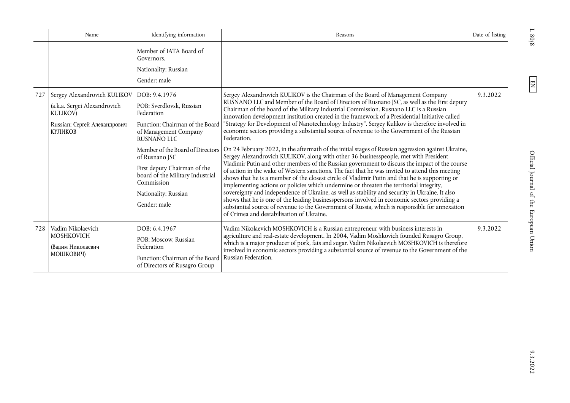|     | Name                                                                                                                       | Identifying information                                                                                                                                                                                                                                                                                            | Reasons                                                                                                                                                                                                                                                                                                                                                                                                                                                                                                                                                                                                                                                                                                                                                                                                                                                                                                                                                                                                                                                                                                                                                                                                                                                                                                                                                                                                                                                                                                                                      | Date of listing |
|-----|----------------------------------------------------------------------------------------------------------------------------|--------------------------------------------------------------------------------------------------------------------------------------------------------------------------------------------------------------------------------------------------------------------------------------------------------------------|----------------------------------------------------------------------------------------------------------------------------------------------------------------------------------------------------------------------------------------------------------------------------------------------------------------------------------------------------------------------------------------------------------------------------------------------------------------------------------------------------------------------------------------------------------------------------------------------------------------------------------------------------------------------------------------------------------------------------------------------------------------------------------------------------------------------------------------------------------------------------------------------------------------------------------------------------------------------------------------------------------------------------------------------------------------------------------------------------------------------------------------------------------------------------------------------------------------------------------------------------------------------------------------------------------------------------------------------------------------------------------------------------------------------------------------------------------------------------------------------------------------------------------------------|-----------------|
|     |                                                                                                                            | Member of IATA Board of<br>Governors.<br>Nationality: Russian<br>Gender: male                                                                                                                                                                                                                                      |                                                                                                                                                                                                                                                                                                                                                                                                                                                                                                                                                                                                                                                                                                                                                                                                                                                                                                                                                                                                                                                                                                                                                                                                                                                                                                                                                                                                                                                                                                                                              |                 |
| 727 | Sergey Alexandrovich KULIKOV<br>(a.k.a. Sergei Alexandrovich<br><b>KULIKOV)</b><br>Russian: Сергей Алехандрович<br>КУПИКОВ | DOB: 9.4.1976<br>POB: Sverdlovsk, Russian<br>Federation<br>Function: Chairman of the Board<br>of Management Company<br>RUSNANO LLC<br>Member of the Board of Directors<br>of Rusnano JSC<br>First deputy Chairman of the<br>board of the Military Industrial<br>Commission<br>Nationality: Russian<br>Gender: male | Sergey Alexandrovich KULIKOV is the Chairman of the Board of Management Company<br>RUSNANO LLC and Member of the Board of Directors of Rusnano JSC, as well as the First deputy<br>Chairman of the board of the Military Industrial Commission. Rusnano LLC is a Russian<br>innovation development institution created in the framework of a Presidential Initiative called<br>'Strategy for Development of Nanotechnology Industry". Sergey Kulikov is therefore involved in<br>economic sectors providing a substantial source of revenue to the Government of the Russian<br>Federation.<br>On 24 February 2022, in the aftermath of the initial stages of Russian aggression against Ukraine,<br>Sergey Alexandrovich KULIKOV, along with other 36 businesspeople, met with President<br>Vladimir Putin and other members of the Russian government to discuss the impact of the course<br>of action in the wake of Western sanctions. The fact that he was invited to attend this meeting<br>shows that he is a member of the closest circle of Vladimir Putin and that he is supporting or<br>implementing actions or policies which undermine or threaten the territorial integrity,<br>sovereignty and independence of Ukraine, as well as stability and security in Ukraine. It also<br>shows that he is one of the leading businesspersons involved in economic sectors providing a<br>substantial source of revenue to the Government of Russia, which is responsible for annexation<br>of Crimea and destabilisation of Ukraine. | 9.3.2022        |
| 728 | Vadim Nikolaevich<br><b>MOSHKOVICH</b><br>(Вапим Николаевич<br>МОШКОВИЧ)                                                   | DOB: 6.4.1967<br>POB: Moscow, Russian<br>Federation<br>Function: Chairman of the Board<br>of Directors of Rusagro Group                                                                                                                                                                                            | Vadim Nikolaevich MOSHKOVICH is a Russian entrepreneur with business interests in<br>agriculture and real-estate development. In 2004, Vadim Moshkovich founded Rusagro Group,<br>which is a major producer of pork, fats and sugar. Vadim Nikolaevich MOSHKOVICH is therefore<br>involved in economic sectors providing a substantial source of revenue to the Government of the<br>Russian Federation.                                                                                                                                                                                                                                                                                                                                                                                                                                                                                                                                                                                                                                                                                                                                                                                                                                                                                                                                                                                                                                                                                                                                     | 9.3.2022        |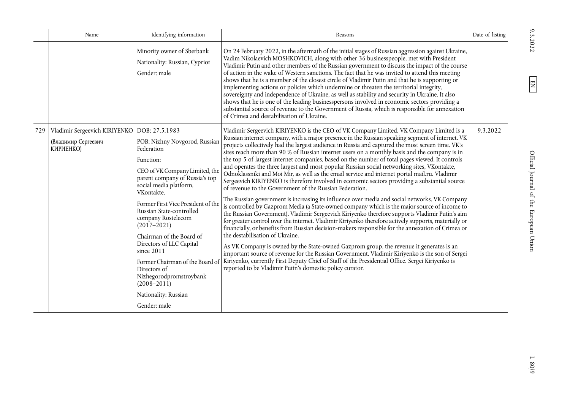|     | Name                                                                               | Identifying information                                                                                                                                                                                                                                                                                                                                                                                                                                                                        | Reasons                                                                                                                                                                                                                                                                                                                                                                                                                                                                                                                                                                                                                                                                                                                                                                                                                                                                                                                                                                                                                                                                                                                                                                                                                                                                                                                                                                                                                                                                                                                                                                                                                                                                                                                                                                         | Date of listing |
|-----|------------------------------------------------------------------------------------|------------------------------------------------------------------------------------------------------------------------------------------------------------------------------------------------------------------------------------------------------------------------------------------------------------------------------------------------------------------------------------------------------------------------------------------------------------------------------------------------|---------------------------------------------------------------------------------------------------------------------------------------------------------------------------------------------------------------------------------------------------------------------------------------------------------------------------------------------------------------------------------------------------------------------------------------------------------------------------------------------------------------------------------------------------------------------------------------------------------------------------------------------------------------------------------------------------------------------------------------------------------------------------------------------------------------------------------------------------------------------------------------------------------------------------------------------------------------------------------------------------------------------------------------------------------------------------------------------------------------------------------------------------------------------------------------------------------------------------------------------------------------------------------------------------------------------------------------------------------------------------------------------------------------------------------------------------------------------------------------------------------------------------------------------------------------------------------------------------------------------------------------------------------------------------------------------------------------------------------------------------------------------------------|-----------------|
|     |                                                                                    | Minority owner of Sberbank<br>Nationality: Russian, Cypriot<br>Gender: male                                                                                                                                                                                                                                                                                                                                                                                                                    | On 24 February 2022, in the aftermath of the initial stages of Russian aggression against Ukraine,<br>Vadim Nikolaevich MOSHKOVICH, along with other 36 businesspeople, met with President<br>Vladimir Putin and other members of the Russian government to discuss the impact of the course<br>of action in the wake of Western sanctions. The fact that he was invited to attend this meeting<br>shows that he is a member of the closest circle of Vladimir Putin and that he is supporting or<br>implementing actions or policies which undermine or threaten the territorial integrity,<br>sovereignty and independence of Ukraine, as well as stability and security in Ukraine. It also<br>shows that he is one of the leading businesspersons involved in economic sectors providing a<br>substantial source of revenue to the Government of Russia, which is responsible for annexation<br>of Crimea and destabilisation of Ukraine.                                                                                                                                                                                                                                                                                                                                                                                                                                                                                                                                                                                                                                                                                                                                                                                                                                   |                 |
| 729 | Vladimir Sergeevich KIRIYENKO   DOB: 27.5.1983<br>(Владимир Сергеевич<br>КИРИЕНКО) | POB: Nizhny Novgorod, Russian<br>Federation<br>Function:<br>CEO of VK Company Limited, the<br>parent company of Russia's top<br>social media platform,<br>VKontakte.<br>Former First Vice President of the<br>Russian State-controlled<br>company Rostelecom<br>$(2017 - 2021)$<br>Chairman of the Board of<br>Directors of LLC Capital<br>since 2011<br>Former Chairman of the Board of<br>Directors of<br>Nizhegorodpromstroybank<br>$(2008 - 2011)$<br>Nationality: Russian<br>Gender: male | Vladimir Sergeevich KIRIYENKO is the CEO of VK Company Limited. VK Company Limited is a<br>Russian internet company, with a major presence in the Russian speaking segment of internet. VK<br>projects collectively had the largest audience in Russia and captured the most screen time. VK's<br>sites reach more than 90 % of Russian internet users on a monthly basis and the company is in<br>the top 5 of largest internet companies, based on the number of total pages viewed. It controls<br>and operates the three largest and most popular Russian social networking sites, VKontakte,<br>Odnoklassniki and Moi Mir, as well as the email service and internet portal mail.ru. Vladimir<br>Sergeevich KIRIYENKO is therefore involved in economic sectors providing a substantial source<br>of revenue to the Government of the Russian Federation.<br>The Russian government is increasing its influence over media and social networks. VK Company<br>is controlled by Gazprom Media (a State-owned company which is the major source of income to<br>the Russian Government). Vladimir Sergeevich Kiriyenko therefore supports Vladimir Putin's aim<br>for greater control over the internet. Vladimir Kiriyenko therefore actively supports, materially or<br>financially, or benefits from Russian decision-makers responsible for the annexation of Crimea or<br>the destabilisation of Ukraine.<br>As VK Company is owned by the State-owned Gazprom group, the revenue it generates is an<br>important source of revenue for the Russian Government. Vladimir Kiriyenko is the son of Sergei<br>Kiriyenko, currently First Deputy Chief of Staff of the Presidential Office. Sergei Kiriyenko is<br>reported to be Vladimir Putin's domestic policy curator. | 9.3.2022        |

 $9.3.2022$ 

 $\boxed{\text{EN}}$ 

 $1.80/9$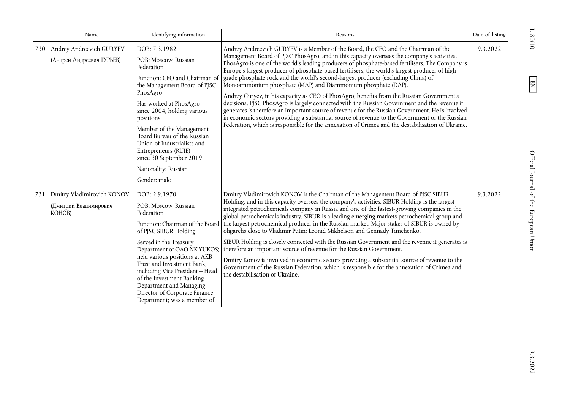|     | Name                                                          | Identifying information                                                                                                                                                                                                                                                                                                                                                                     | Reasons                                                                                                                                                                                                                                                                                                                                                                                                                                                                                                                                                                                                                                                                                                                                                                                                                                                                                                                                                                                                                                             | Date of listing |
|-----|---------------------------------------------------------------|---------------------------------------------------------------------------------------------------------------------------------------------------------------------------------------------------------------------------------------------------------------------------------------------------------------------------------------------------------------------------------------------|-----------------------------------------------------------------------------------------------------------------------------------------------------------------------------------------------------------------------------------------------------------------------------------------------------------------------------------------------------------------------------------------------------------------------------------------------------------------------------------------------------------------------------------------------------------------------------------------------------------------------------------------------------------------------------------------------------------------------------------------------------------------------------------------------------------------------------------------------------------------------------------------------------------------------------------------------------------------------------------------------------------------------------------------------------|-----------------|
| 730 | Andrey Andreevich GURYEV<br>(Андрей Андреевич ГУРЬЕВ)         | DOB: 7.3.1982<br>POB: Moscow, Russian<br>Federation<br>Function: CEO and Chairman of<br>the Management Board of PJSC<br>PhosAgro<br>Has worked at PhosAgro<br>since 2004, holding various<br>positions<br>Member of the Management<br>Board Bureau of the Russian<br>Union of Industrialists and<br>Entrepreneurs (RUIE)<br>since 30 September 2019<br>Nationality: Russian<br>Gender: male | Andrey Andreevich GURYEV is a Member of the Board, the CEO and the Chairman of the<br>Management Board of PJSC PhosAgro, and in this capacity oversees the company's activities.<br>PhosAgro is one of the world's leading producers of phosphate-based fertilisers. The Company is<br>Europe's largest producer of phosphate-based fertilisers, the world's largest producer of high-<br>grade phosphate rock and the world's second-largest producer (excluding China) of<br>Monoammonium phosphate (MAP) and Diammonium phosphate (DAP).<br>Andrey Guryev, in his capacity as CEO of PhosAgro, benefits from the Russian Government's<br>decisions. PJSC PhosAgro is largely connected with the Russian Government and the revenue it<br>generates is therefore an important source of revenue for the Russian Government. He is involved<br>in economic sectors providing a substantial source of revenue to the Government of the Russian<br>Federation, which is responsible for the annexation of Crimea and the destabilisation of Ukraine. | 9.3.2022        |
| 731 | Dmitry Vladimirovich KONOV<br>(Дмитрий Владимирович<br>KOHOB) | DOB: 2.9.1970<br>POB: Moscow, Russian<br>Federation<br>of PJSC SIBUR Holding<br>Served in the Treasury<br>Department of OAO NK YUKOS;<br>held various positions at AKB<br>Trust and Investment Bank.<br>including Vice President - Head<br>of the Investment Banking<br>Department and Managing<br>Director of Corporate Finance<br>Department; was a member of                             | Dmitry Vladimirovich KONOV is the Chairman of the Management Board of PJSC SIBUR<br>Holding, and in this capacity oversees the company's activities. SIBUR Holding is the largest<br>integrated petrochemicals company in Russia and one of the fastest-growing companies in the<br>global petrochemicals industry. SIBUR is a leading emerging markets petrochemical group and<br>Function: Chairman of the Board the largest petrochemical producer in the Russian market. Major stakes of SIBUR is owned by<br>oligarchs close to Vladimir Putin: Leonid Mikhelson and Gennady Timchenko.<br>SIBUR Holding is closely connected with the Russian Government and the revenue it generates is<br>therefore an important source of revenue for the Russian Government.<br>Dmitry Konov is involved in economic sectors providing a substantial source of revenue to the<br>Government of the Russian Federation, which is responsible for the annexation of Crimea and<br>the destabilisation of Ukraine.                                           | 9.3.2022        |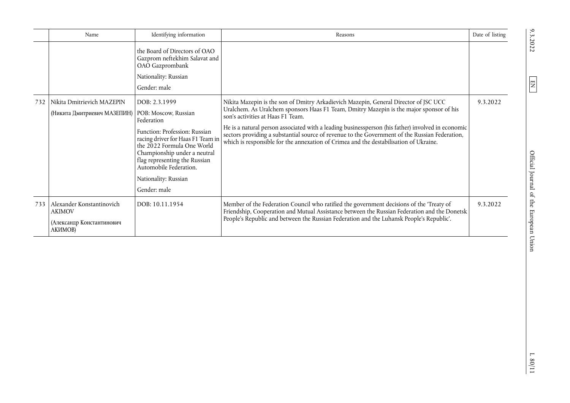|     | Name                                                                               | Identifying information                                                                                                                                                                                                                                            | Reasons                                                                                                                                                                                                                                                                                                                                                                                                                                                                                                              | Date of listing |
|-----|------------------------------------------------------------------------------------|--------------------------------------------------------------------------------------------------------------------------------------------------------------------------------------------------------------------------------------------------------------------|----------------------------------------------------------------------------------------------------------------------------------------------------------------------------------------------------------------------------------------------------------------------------------------------------------------------------------------------------------------------------------------------------------------------------------------------------------------------------------------------------------------------|-----------------|
|     |                                                                                    | the Board of Directors of OAO<br>Gazprom neftekhim Salavat and<br>OAO Gazprombank<br>Nationality: Russian<br>Gender: male                                                                                                                                          |                                                                                                                                                                                                                                                                                                                                                                                                                                                                                                                      |                 |
| 732 | Nikita Dmitrievich MAZEPIN<br>(Никита Дмитриевич МАЗЕПИН)   POB: Moscow, Russian   | DOB: 2.3.1999<br>Federation<br>Function: Profession: Russian<br>racing driver for Haas F1 Team in<br>the 2022 Formula One World<br>Championship under a neutral<br>flag representing the Russian<br>Automobile Federation.<br>Nationality: Russian<br>Gender: male | Nikita Mazepin is the son of Dmitry Arkadievich Mazepin, General Director of JSC UCC<br>Uralchem. As Uralchem sponsors Haas F1 Team, Dmitry Mazepin is the major sponsor of his<br>son's activities at Haas F1 Team.<br>He is a natural person associated with a leading businessperson (his father) involved in economic<br>sectors providing a substantial source of revenue to the Government of the Russian Federation,<br>which is responsible for the annexation of Crimea and the destabilisation of Ukraine. | 9.3.2022        |
| 733 | Alexander Konstantinovich<br><b>AKIMOV</b><br>(Александр Константинович<br>АКИМОВ) | DOB: 10.11.1954                                                                                                                                                                                                                                                    | Member of the Federation Council who ratified the government decisions of the 'Treaty of<br>Friendship, Cooperation and Mutual Assistance between the Russian Federation and the Donetsk<br>People's Republic and between the Russian Federation and the Luhansk People's Republic'.                                                                                                                                                                                                                                 | 9.3.2022        |

 $9.3.2022$ 

 $\boxed{\text{EN}}$ 

Official Journal of the European Union

EN Official Journal of the European Union 9.3.2022 L 80/11  $\frac{1.80}{11}$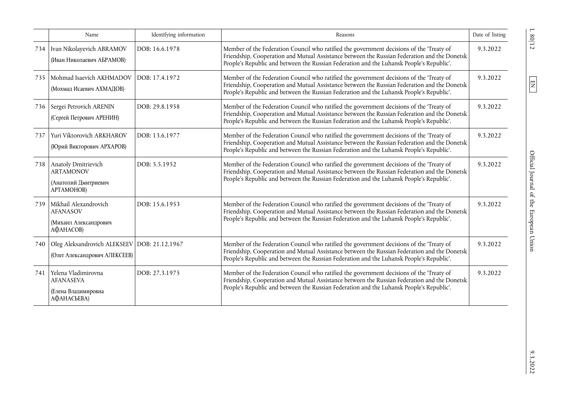|     | Name                                                                           | Identifying information | Reasons                                                                                                                                                                                                                                                                              | Date of listing |
|-----|--------------------------------------------------------------------------------|-------------------------|--------------------------------------------------------------------------------------------------------------------------------------------------------------------------------------------------------------------------------------------------------------------------------------|-----------------|
| 734 | Ivan Nikolayevich ABRAMOV<br>(Иван Николаевич АБРАМОВ)                         | DOB: 16.6.1978          | Member of the Federation Council who ratified the government decisions of the 'Treaty of<br>Friendship, Cooperation and Mutual Assistance between the Russian Federation and the Donetsk<br>People's Republic and between the Russian Federation and the Luhansk People's Republic'. | 9.3.2022        |
| 735 | Mohmad Isaevich AKHMADOV<br>(Мохмад Исаевич АХМАДОВ)                           | DOB: 17.4.1972          | Member of the Federation Council who ratified the government decisions of the 'Treaty of<br>Friendship, Cooperation and Mutual Assistance between the Russian Federation and the Donetsk<br>People's Republic and between the Russian Federation and the Luhansk People's Republic'. | 9.3.2022        |
| 736 | Sergei Petrovich ARENIN<br>(Сергей Петрович АРЕНИН)                            | DOB: 29.8.1958          | Member of the Federation Council who ratified the government decisions of the 'Treaty of<br>Friendship, Cooperation and Mutual Assistance between the Russian Federation and the Donetsk<br>People's Republic and between the Russian Federation and the Luhansk People's Republic'. | 9.3.2022        |
| 737 | Yuri Viktorovich ARKHAROV<br>(Юрий Викторович АРХАРОВ)                         | DOB: 13.6.1977          | Member of the Federation Council who ratified the government decisions of the 'Treaty of<br>Friendship, Cooperation and Mutual Assistance between the Russian Federation and the Donetsk<br>People's Republic and between the Russian Federation and the Luhansk People's Republic'. | 9.3.2022        |
| 738 | Anatoly Dmitrievich<br><b>ARTAMONOV</b><br>(Анатолий Дмитриевич<br>APTAMOHOB)  | DOB: 5.5.1952           | Member of the Federation Council who ratified the government decisions of the 'Treaty of<br>Friendship, Cooperation and Mutual Assistance between the Russian Federation and the Donetsk<br>People's Republic and between the Russian Federation and the Luhansk People's Republic'. | 9.3.2022        |
| 739 | Mikhail Alexandrovich<br><b>AFANASOV</b><br>(Михаил Александрович<br>АФАНАСОВ) | DOB: 15.6.1953          | Member of the Federation Council who ratified the government decisions of the 'Treaty of<br>Friendship, Cooperation and Mutual Assistance between the Russian Federation and the Donetsk<br>People's Republic and between the Russian Federation and the Luhansk People's Republic'. | 9.3.2022        |
| 740 | Oleg Aleksandrovich ALEKSEEV DOB: 21.12.1967<br>(Олег Александрович АЛЕКСЕЕВ)  |                         | Member of the Federation Council who ratified the government decisions of the 'Treaty of<br>Friendship, Cooperation and Mutual Assistance between the Russian Federation and the Donetsk<br>People's Republic and between the Russian Federation and the Luhansk People's Republic'. | 9.3.2022        |
| 741 | Yelena Vladimirovna<br><b>AFANASEVA</b><br>(Елена Владимировна<br>АФАНАСЬЕВА)  | DOB: 27.3.1975          | Member of the Federation Council who ratified the government decisions of the 'Treaty of<br>Friendship, Cooperation and Mutual Assistance between the Russian Federation and the Donetsk<br>People's Republic and between the Russian Federation and the Luhansk People's Republic'. | 9.3.2022        |

 $\frac{1}{80/12}$ 

 $\boxed{\text{EN}}$ 

 $\frac{9.3.2022}{2}$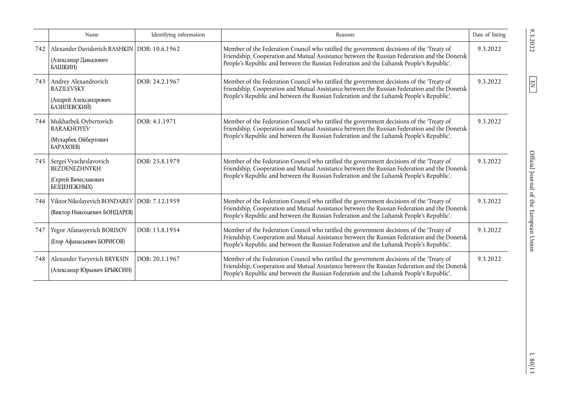|     | Name                                                                                         | Identifying information | Reasons                                                                                                                                                                                                                                                                              | Date of listing |
|-----|----------------------------------------------------------------------------------------------|-------------------------|--------------------------------------------------------------------------------------------------------------------------------------------------------------------------------------------------------------------------------------------------------------------------------------|-----------------|
| 742 | Alexander Davidovich BASHKIN DOB: 10.6.1962<br>(Александр Давыдович<br>БАШКИН)               |                         | Member of the Federation Council who ratified the government decisions of the 'Treaty of<br>Friendship, Cooperation and Mutual Assistance between the Russian Federation and the Donetsk<br>People's Republic and between the Russian Federation and the Luhansk People's Republic'. | 9.3.2022        |
|     | 743   Andrey Alexandrovich<br><b>BAZILEVSKY</b><br>(Андрей Александрович<br>БАЗИЛЕВСКИЙ)     | DOB: 24.2.1967          | Member of the Federation Council who ratified the government decisions of the 'Treaty of<br>Friendship, Cooperation and Mutual Assistance between the Russian Federation and the Donetsk<br>People's Republic and between the Russian Federation and the Luhansk People's Republic'. | 9.3.2022        |
| 744 | Mukharbek Oybertovich<br><b>BARAKHOYEV</b><br>(Мухарбек Ойбертович<br><b><i>GAPAXOEB</i></b> | DOB: 4.1.1971           | Member of the Federation Council who ratified the government decisions of the 'Treaty of<br>Friendship, Cooperation and Mutual Assistance between the Russian Federation and the Donetsk<br>People's Republic and between the Russian Federation and the Luhansk People's Republic'. | 9.3.2022        |
| 745 | Sergei Vyacheslavovich<br>BEZDENEZHNYKH<br>(Сергей Вячеславович<br>БЕЗДЕНЕЖНЫХ)              | DOB: 25.8.1979          | Member of the Federation Council who ratified the government decisions of the 'Treaty of<br>Friendship, Cooperation and Mutual Assistance between the Russian Federation and the Donetsk<br>People's Republic and between the Russian Federation and the Luhansk People's Republic'. | 9.3.2022        |
| 746 | Viktor Nikolayevich BONDAREV   DOB: 7.12.1959<br>(Виктор Николаевич БОНДАРЕВ)                |                         | Member of the Federation Council who ratified the government decisions of the 'Treaty of<br>Friendship, Cooperation and Mutual Assistance between the Russian Federation and the Donetsk<br>People's Republic and between the Russian Federation and the Luhansk People's Republic'. | 9.3.2022        |
| 747 | Yegor Afanasyevich BORISOV<br>(Егор Афанасьевич БОРИСОВ)                                     | DOB: 15.8.1954          | Member of the Federation Council who ratified the government decisions of the 'Treaty of<br>Friendship, Cooperation and Mutual Assistance between the Russian Federation and the Donetsk<br>People's Republic and between the Russian Federation and the Luhansk People's Republic'. | 9.3.2022        |
| 748 | Alexander Yuryevich BRYKSIN<br>(Александр Юрьевич БРЫКСИН)                                   | DOB: 20.1.1967          | Member of the Federation Council who ratified the government decisions of the 'Treaty of<br>Friendship, Cooperation and Mutual Assistance between the Russian Federation and the Donetsk<br>People's Republic and between the Russian Federation and the Luhansk People's Republic'. | 9.3.2022        |

 $9.3.2022$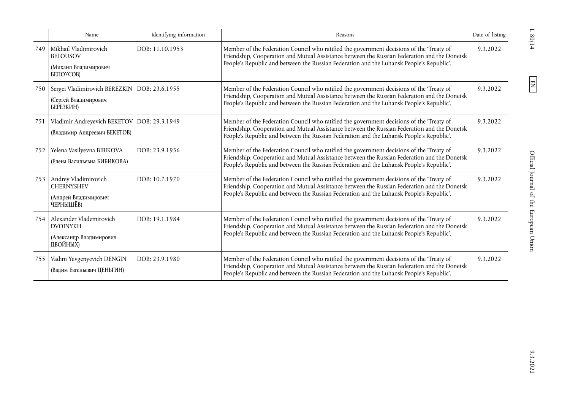|     | Name                                                                                | Identifying information | Reasons                                                                                                                                                                                                                                                                              | Date of listing |
|-----|-------------------------------------------------------------------------------------|-------------------------|--------------------------------------------------------------------------------------------------------------------------------------------------------------------------------------------------------------------------------------------------------------------------------------|-----------------|
| 749 | l Mikhail Vladimirovich<br><b>BELOUSOV</b><br>(Михаил Владимирович<br>БЕЛОУСОВ)     | DOB: 11.10.1953         | Member of the Federation Council who ratified the government decisions of the 'Treaty of<br>Friendship, Cooperation and Mutual Assistance between the Russian Federation and the Donetsk<br>People's Republic and between the Russian Federation and the Luhansk People's Republic'. | 9.3.2022        |
| 750 | Sergei Vladimirovich BEREZKIN   DOB: 23.6.1955<br>(Сергей Владимирович<br>БЕРЁЗКИН) |                         | Member of the Federation Council who ratified the government decisions of the 'Treaty of<br>Friendship, Cooperation and Mutual Assistance between the Russian Federation and the Donetsk<br>People's Republic and between the Russian Federation and the Luhansk People's Republic'. | 9.3.2022        |
| 751 | Vladimir Andreyevich BEKETOV   DOB: 29.3.1949<br>(Владимир Андреевич БЕКЕТОВ)       |                         | Member of the Federation Council who ratified the government decisions of the 'Treaty of<br>Friendship, Cooperation and Mutual Assistance between the Russian Federation and the Donetsk<br>People's Republic and between the Russian Federation and the Luhansk People's Republic'. | 9.3.2022        |
| 752 | Yelena Vasilyevna BIBIKOVA<br>(Елена Васильевна БИБИКОВА)                           | DOB: 23.9.1956          | Member of the Federation Council who ratified the government decisions of the 'Treaty of<br>Friendship, Cooperation and Mutual Assistance between the Russian Federation and the Donetsk<br>People's Republic and between the Russian Federation and the Luhansk People's Republic'. | 9.3.2022        |
|     | 753 Andrey Vladimirovich<br><b>CHERNYSHEV</b><br>(Андрей Владимирович<br>ЧЕРНЫШЁВ)  | DOB: 10.7.1970          | Member of the Federation Council who ratified the government decisions of the 'Treaty of<br>Friendship, Cooperation and Mutual Assistance between the Russian Federation and the Donetsk<br>People's Republic and between the Russian Federation and the Luhansk People's Republic'. | 9.3.2022        |
| 754 | Alexander Vlademirovich<br><b>DVOINYKH</b><br>(Александр Владимирович<br>ДВОЙНЫХ)   | DOB: 19.1.1984          | Member of the Federation Council who ratified the government decisions of the 'Treaty of<br>Friendship, Cooperation and Mutual Assistance between the Russian Federation and the Donetsk<br>People's Republic and between the Russian Federation and the Luhansk People's Republic'. | 9.3.2022        |
| 755 | Vadim Yevgenyevich DENGIN<br>(Вадим Евгеньевич ДЕНЬГИН)                             | DOB: 23.9.1980          | Member of the Federation Council who ratified the government decisions of the 'Treaty of<br>Friendship, Cooperation and Mutual Assistance between the Russian Federation and the Donetsk<br>People's Republic and between the Russian Federation and the Luhansk People's Republic'. | 9.3.2022        |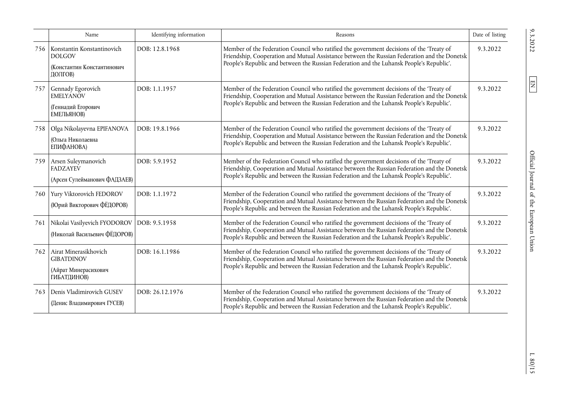|     | Name                                                                                 | Identifying information | Reasons                                                                                                                                                                                                                                                                              | Date of listing |
|-----|--------------------------------------------------------------------------------------|-------------------------|--------------------------------------------------------------------------------------------------------------------------------------------------------------------------------------------------------------------------------------------------------------------------------------|-----------------|
| 756 | Konstantin Konstantinovich<br><b>DOLGOV</b><br>(Константин Константинович<br>ДОЛГОВ) | DOB: 12.8.1968          | Member of the Federation Council who ratified the government decisions of the 'Treaty of<br>Friendship, Cooperation and Mutual Assistance between the Russian Federation and the Donetsk<br>People's Republic and between the Russian Federation and the Luhansk People's Republic'. | 9.3.2022        |
| 757 | Gennady Egorovich<br><b>EMELYANOV</b><br>(Геннадий Егорович<br>ЕМЕЛЬЯНОВ)            | DOB: 1.1.1957           | Member of the Federation Council who ratified the government decisions of the 'Treaty of<br>Friendship, Cooperation and Mutual Assistance between the Russian Federation and the Donetsk<br>People's Republic and between the Russian Federation and the Luhansk People's Republic'. | 9.3.2022        |
| 758 | Olga Nikolayevna EPIFANOVA<br>Ольга Николаевна<br>ЕПИФАНОВА)                         | DOB: 19.8.1966          | Member of the Federation Council who ratified the government decisions of the 'Treaty of<br>Friendship, Cooperation and Mutual Assistance between the Russian Federation and the Donetsk<br>People's Republic and between the Russian Federation and the Luhansk People's Republic'. | 9.3.2022        |
| 759 | Arsen Suleymanovich<br><b>FADZAYEV</b><br>(Арсен Сулейманович ФАДЗАЕВ)               | DOB: 5.9.1952           | Member of the Federation Council who ratified the government decisions of the 'Treaty of<br>Friendship, Cooperation and Mutual Assistance between the Russian Federation and the Donetsk<br>People's Republic and between the Russian Federation and the Luhansk People's Republic'. | 9.3.2022        |
| 760 | Yury Viktorovich FEDOROV<br>(Юрий Викторович ФЁДОРОВ)                                | DOB: 1.1.1972           | Member of the Federation Council who ratified the government decisions of the 'Treaty of<br>Friendship, Cooperation and Mutual Assistance between the Russian Federation and the Donetsk<br>People's Republic and between the Russian Federation and the Luhansk People's Republic'. | 9.3.2022        |
| 761 | Nikolai Vasilyevich FYODOROV<br>(Николай Васильевич ФЁДОРОВ)                         | DOB: 9.5.1958           | Member of the Federation Council who ratified the government decisions of the 'Treaty of<br>Friendship, Cooperation and Mutual Assistance between the Russian Federation and the Donetsk<br>People's Republic and between the Russian Federation and the Luhansk People's Republic'. | 9.3.2022        |
| 762 | Airat Minerasikhovich<br><b>GIBATDINOV</b><br>(Айрат Минерасихович<br>ГИБАТДИНОВ)    | DOB: 16.1.1986          | Member of the Federation Council who ratified the government decisions of the 'Treaty of<br>Friendship, Cooperation and Mutual Assistance between the Russian Federation and the Donetsk<br>People's Republic and between the Russian Federation and the Luhansk People's Republic'. | 9.3.2022        |
| 763 | Denis Vladimirovich GUSEV<br>(Денис Владимирович ГУСЕВ)                              | DOB: 26.12.1976         | Member of the Federation Council who ratified the government decisions of the 'Treaty of<br>Friendship, Cooperation and Mutual Assistance between the Russian Federation and the Donetsk<br>People's Republic and between the Russian Federation and the Luhansk People's Republic'. | 9.3.2022        |

 $L$  80/15  $\,$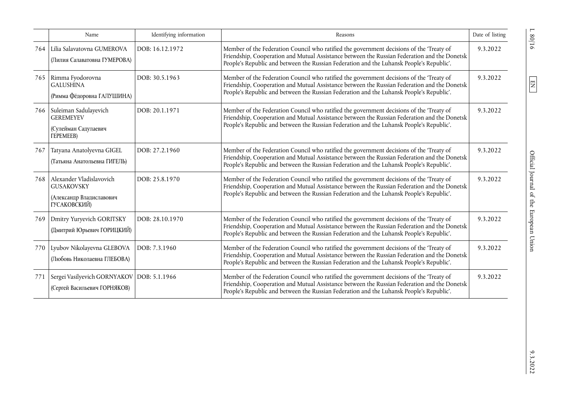|     | Name                                                                                      | Identifying information | Reasons                                                                                                                                                                                                                                                                              | Date of listing |
|-----|-------------------------------------------------------------------------------------------|-------------------------|--------------------------------------------------------------------------------------------------------------------------------------------------------------------------------------------------------------------------------------------------------------------------------------|-----------------|
| 764 | Lilia Salavatovna GUMEROVA<br>(Лилия Салаватовна ГУМЕРОВА)                                | DOB: 16.12.1972         | Member of the Federation Council who ratified the government decisions of the 'Treaty of<br>Friendship, Cooperation and Mutual Assistance between the Russian Federation and the Donetsk<br>People's Republic and between the Russian Federation and the Luhansk People's Republic'. | 9.3.2022        |
| 765 | Rimma Fyodorovna<br><b>GALUSHINA</b><br>(Римма Фёдоровна ГАЛУШИНА)                        | DOB: 30.5.1963          | Member of the Federation Council who ratified the government decisions of the 'Treaty of<br>Friendship, Cooperation and Mutual Assistance between the Russian Federation and the Donetsk<br>People's Republic and between the Russian Federation and the Luhansk People's Republic'. | 9.3.2022        |
| 766 | Suleiman Sadulayevich<br><b>GEREMEYEV</b><br>(Сулейман Садулаевич<br><b>TEPEMEEB)</b>     | DOB: 20.1.1971          | Member of the Federation Council who ratified the government decisions of the 'Treaty of<br>Friendship, Cooperation and Mutual Assistance between the Russian Federation and the Donetsk<br>People's Republic and between the Russian Federation and the Luhansk People's Republic'. | 9.3.2022        |
| 767 | Tatyana Anatolyevna GIGEL<br>(Татьяна Анатольевна ГИГЕЛЬ)                                 | DOB: 27.2.1960          | Member of the Federation Council who ratified the government decisions of the 'Treaty of<br>Friendship, Cooperation and Mutual Assistance between the Russian Federation and the Donetsk<br>People's Republic and between the Russian Federation and the Luhansk People's Republic'. | 9.3.2022        |
| 768 | Alexander Vladislavovich<br><b>GUSAKOVSKY</b><br>(Александр Владиславович<br>ГУСАКОВСКИЙ) | DOB: 25.8.1970          | Member of the Federation Council who ratified the government decisions of the 'Treaty of<br>Friendship, Cooperation and Mutual Assistance between the Russian Federation and the Donetsk<br>People's Republic and between the Russian Federation and the Luhansk People's Republic'. | 9.3.2022        |
| 769 | Dmitry Yuryevich GORITSKY<br>(Дмитрий Юрьевич ГОРИЦКИЙ)                                   | DOB: 28.10.1970         | Member of the Federation Council who ratified the government decisions of the 'Treaty of<br>Friendship, Cooperation and Mutual Assistance between the Russian Federation and the Donetsk<br>People's Republic and between the Russian Federation and the Luhansk People's Republic'. | 9.3.2022        |
| 770 | Lyubov Nikolayevna GLEBOVA<br>(Любовь Николаевна ГЛЕБОВА)                                 | DOB: 7.3.1960           | Member of the Federation Council who ratified the government decisions of the 'Treaty of<br>Friendship, Cooperation and Mutual Assistance between the Russian Federation and the Donetsk<br>People's Republic and between the Russian Federation and the Luhansk People's Republic'. | 9.3.2022        |
| 771 | Sergei Vasilyevich GORNYAKOV   DOB: 5.1.1966<br>(Сергей Васильевич ГОРНЯКОВ)              |                         | Member of the Federation Council who ratified the government decisions of the 'Treaty of<br>Friendship, Cooperation and Mutual Assistance between the Russian Federation and the Donetsk<br>People's Republic and between the Russian Federation and the Luhansk People's Republic'. | 9.3.2022        |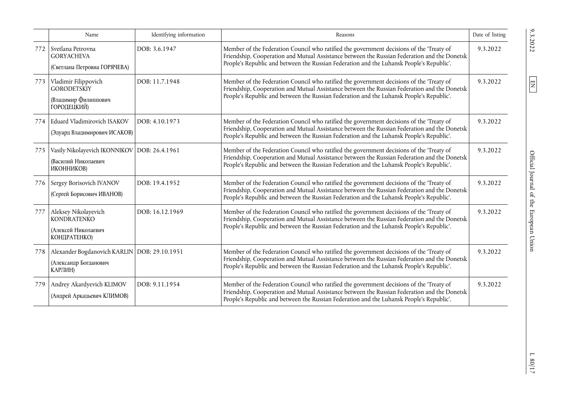|     | Name                                                                                | Identifying information | Reasons                                                                                                                                                                                                                                                                              | Date of listing |
|-----|-------------------------------------------------------------------------------------|-------------------------|--------------------------------------------------------------------------------------------------------------------------------------------------------------------------------------------------------------------------------------------------------------------------------------|-----------------|
| 772 | Svetlana Petrovna<br><b>GORYACHEVA</b><br>(Светлана Петровна ГОРЯЧЕВА)              | DOB: 3.6.1947           | Member of the Federation Council who ratified the government decisions of the 'Treaty of<br>Friendship, Cooperation and Mutual Assistance between the Russian Federation and the Donetsk<br>People's Republic and between the Russian Federation and the Luhansk People's Republic'. | 9.3.2022        |
| 773 | Vladimir Filippovich<br><b>GORODETSKIY</b><br>(Владимир Филиппович<br>ГОРОДЕЦКИЙ)   | DOB: 11.7.1948          | Member of the Federation Council who ratified the government decisions of the 'Treaty of<br>Friendship, Cooperation and Mutual Assistance between the Russian Federation and the Donetsk<br>People's Republic and between the Russian Federation and the Luhansk People's Republic'. | 9.3.2022        |
| 774 | Eduard Vladimirovich ISAKOV<br>(Эдуард Владимирович ИСАКОВ)                         | DOB: 4.10.1973          | Member of the Federation Council who ratified the government decisions of the 'Treaty of<br>Friendship, Cooperation and Mutual Assistance between the Russian Federation and the Donetsk<br>People's Republic and between the Russian Federation and the Luhansk People's Republic'. | 9.3.2022        |
| 775 | Vasily Nikolayevich IKONNIKOV   DOB: 26.4.1961<br>(Василий Николаевич<br>ИКОННИКОВ) |                         | Member of the Federation Council who ratified the government decisions of the 'Treaty of<br>Friendship, Cooperation and Mutual Assistance between the Russian Federation and the Donetsk<br>People's Republic and between the Russian Federation and the Luhansk People's Republic'. | 9.3.2022        |
|     | 776 Sergey Borisovich IVANOV<br>(Сергей Борисович ИВАНОВ)                           | DOB: 19.4.1952          | Member of the Federation Council who ratified the government decisions of the 'Treaty of<br>Friendship, Cooperation and Mutual Assistance between the Russian Federation and the Donetsk<br>People's Republic and between the Russian Federation and the Luhansk People's Republic'. | 9.3.2022        |
| 777 | Aleksey Nikolayevich<br>KONDRATENKO<br>(Алексей Николаевич<br>КОНДРАТЕНКО)          | DOB: 16.12.1969         | Member of the Federation Council who ratified the government decisions of the 'Treaty of<br>Friendship, Cooperation and Mutual Assistance between the Russian Federation and the Donetsk<br>People's Republic and between the Russian Federation and the Luhansk People's Republic'. | 9.3.2022        |
| 778 | Alexander Bogdanovich KARLIN   DOB: 29.10.1951<br>(Александр Богданович<br>КАРЛИН)  |                         | Member of the Federation Council who ratified the government decisions of the 'Treaty of<br>Friendship, Cooperation and Mutual Assistance between the Russian Federation and the Donetsk<br>People's Republic and between the Russian Federation and the Luhansk People's Republic'. | 9.3.2022        |
| 779 | Andrey Akardyevich KLIMOV<br>(Андрей Аркадьевич КЛИМОВ)                             | DOB: 9.11.1954          | Member of the Federation Council who ratified the government decisions of the 'Treaty of<br>Friendship, Cooperation and Mutual Assistance between the Russian Federation and the Donetsk<br>People's Republic and between the Russian Federation and the Luhansk People's Republic'. | 9.3.2022        |

 $L$ 80/17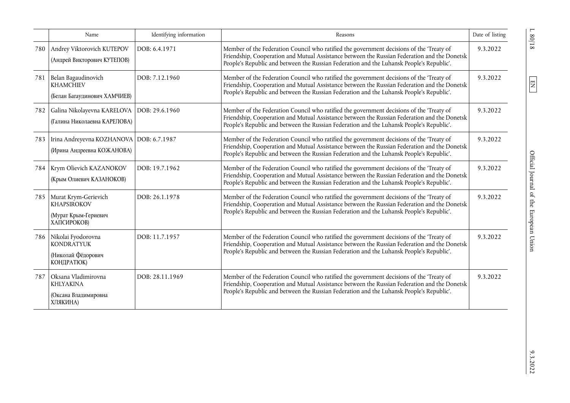|     | Name                                                                              | Identifying information | Reasons                                                                                                                                                                                                                                                                              | Date of listing |
|-----|-----------------------------------------------------------------------------------|-------------------------|--------------------------------------------------------------------------------------------------------------------------------------------------------------------------------------------------------------------------------------------------------------------------------------|-----------------|
| 780 | Andrey Viktorovich KUTEPOV<br>(Андрей Викторович КУТЕПОВ)                         | DOB: 6.4.1971           | Member of the Federation Council who ratified the government decisions of the 'Treaty of<br>Friendship, Cooperation and Mutual Assistance between the Russian Federation and the Donetsk<br>People's Republic and between the Russian Federation and the Luhansk People's Republic'. | 9.3.2022        |
| 781 | Belan Bagaudinovich<br><b>KHAMCHIEV</b><br>(Белан Багаудинович ХАМЧИЕВ)           | DOB: 7.12.1960          | Member of the Federation Council who ratified the government decisions of the 'Treaty of<br>Friendship, Cooperation and Mutual Assistance between the Russian Federation and the Donetsk<br>People's Republic and between the Russian Federation and the Luhansk People's Republic'. | 9.3.2022        |
| 782 | Galina Nikolayevna KARELOVA   DOB: 29.6.1960<br>(Галина Николаевна КАРЕЛОВА)      |                         | Member of the Federation Council who ratified the government decisions of the 'Treaty of<br>Friendship, Cooperation and Mutual Assistance between the Russian Federation and the Donetsk<br>People's Republic and between the Russian Federation and the Luhansk People's Republic'. | 9.3.2022        |
| 783 | Irina Andreyevna KOZHANOVA   DOB: 6.7.1987<br>(Ирина Андреевна КОЖАНОВА)          |                         | Member of the Federation Council who ratified the government decisions of the 'Treaty of<br>Friendship, Cooperation and Mutual Assistance between the Russian Federation and the Donetsk<br>People's Republic and between the Russian Federation and the Luhansk People's Republic'. | 9.3.2022        |
| 784 | Krym Olievich KAZANOKOV<br>(Крым Олиевич КАЗАНОКОВ)                               | DOB: 19.7.1962          | Member of the Federation Council who ratified the government decisions of the 'Treaty of<br>Friendship, Cooperation and Mutual Assistance between the Russian Federation and the Donetsk<br>People's Republic and between the Russian Federation and the Luhansk People's Republic'. | 9.3.2022        |
| 785 | Murat Krym-Gerievich<br><b>KHAPSIROKOV</b><br>(Мурат Крым-Гериевич<br>ХАПСИРОКОВ) | DOB: 26.1.1978          | Member of the Federation Council who ratified the government decisions of the 'Treaty of<br>Friendship, Cooperation and Mutual Assistance between the Russian Federation and the Donetsk<br>People's Republic and between the Russian Federation and the Luhansk People's Republic'. | 9.3.2022        |
| 786 | Nikolai Fyodorovna<br><b>KONDRATYUK</b><br>(Николай Фёдорович<br>КОНДРАТЮК)       | DOB: 11.7.1957          | Member of the Federation Council who ratified the government decisions of the 'Treaty of<br>Friendship, Cooperation and Mutual Assistance between the Russian Federation and the Donetsk<br>People's Republic and between the Russian Federation and the Luhansk People's Republic'. | 9.3.2022        |
| 787 | Oksana Vladimirovna<br><b>KHLYAKINA</b><br>(Оксана Владимировна<br>ХЛЯКИНА)       | DOB: 28.11.1969         | Member of the Federation Council who ratified the government decisions of the 'Treaty of<br>Friendship, Cooperation and Mutual Assistance between the Russian Federation and the Donetsk<br>People's Republic and between the Russian Federation and the Luhansk People's Republic'. | 9.3.2022        |

 $\frac{1}{80/18}$ 

 $\boxed{\text{EN}}$ 

 $9.3.2022$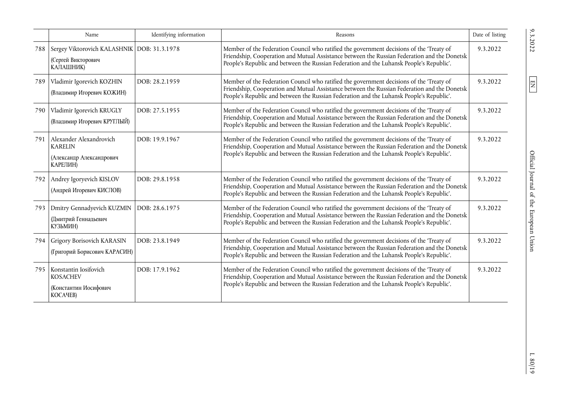|     | Name                                                                              | Identifying information | Reasons                                                                                                                                                                                                                                                                              | Date of listing |
|-----|-----------------------------------------------------------------------------------|-------------------------|--------------------------------------------------------------------------------------------------------------------------------------------------------------------------------------------------------------------------------------------------------------------------------------|-----------------|
| 788 | Sergey Viktorovich KALASHNIK DOB: 31.3.1978<br>(Сергей Викторович<br>КАЛАШНИК)    |                         | Member of the Federation Council who ratified the government decisions of the 'Treaty of<br>Friendship, Cooperation and Mutual Assistance between the Russian Federation and the Donetsk<br>People's Republic and between the Russian Federation and the Luhansk People's Republic'. | 9.3.2022        |
| 789 | Vladimir Igorevich KOZHIN<br>(Владимир Игоревич КОЖИН)                            | DOB: 28.2.1959          | Member of the Federation Council who ratified the government decisions of the 'Treaty of<br>Friendship, Cooperation and Mutual Assistance between the Russian Federation and the Donetsk<br>People's Republic and between the Russian Federation and the Luhansk People's Republic'. | 9.3.2022        |
| 790 | Vladimir Igorevich KRUGLY<br>(Владимир Игоревич КРУГЛЫЙ)                          | DOB: 27.5.1955          | Member of the Federation Council who ratified the government decisions of the 'Treaty of<br>Friendship, Cooperation and Mutual Assistance between the Russian Federation and the Donetsk<br>People's Republic and between the Russian Federation and the Luhansk People's Republic'. | 9.3.2022        |
| 791 | Alexander Alexandrovich<br><b>KARELIN</b><br>(Александр Александрович<br>КАРЕЛИН) | DOB: 19.9.1967          | Member of the Federation Council who ratified the government decisions of the 'Treaty of<br>Friendship, Cooperation and Mutual Assistance between the Russian Federation and the Donetsk<br>People's Republic and between the Russian Federation and the Luhansk People's Republic'. | 9.3.2022        |
| 792 | Andrey Igoryevich KISLOV<br>(Андрей Игоревич КИСЛОВ)                              | DOB: 29.8.1958          | Member of the Federation Council who ratified the government decisions of the 'Treaty of<br>Friendship, Cooperation and Mutual Assistance between the Russian Federation and the Donetsk<br>People's Republic and between the Russian Federation and the Luhansk People's Republic'. | 9.3.2022        |
| 793 | Dmitry Gennadyevich KUZMIN<br>(Дмитрий Геннадьевич<br>КУЗЬМИН)                    | DOB: 28.6.1975          | Member of the Federation Council who ratified the government decisions of the 'Treaty of<br>Friendship, Cooperation and Mutual Assistance between the Russian Federation and the Donetsk<br>People's Republic and between the Russian Federation and the Luhansk People's Republic'. | 9.3.2022        |
| 794 | Grigory Borisovich KARASIN<br>(Григорий Борисович КАРАСИН)                        | DOB: 23.8.1949          | Member of the Federation Council who ratified the government decisions of the 'Treaty of<br>Friendship, Cooperation and Mutual Assistance between the Russian Federation and the Donetsk<br>People's Republic and between the Russian Federation and the Luhansk People's Republic'. | 9.3.2022        |
| 795 | Konstantin Iosifovich<br><b>KOSACHEV</b><br>(Константин Иосифович<br>KOCAYEB)     | DOB: 17.9.1962          | Member of the Federation Council who ratified the government decisions of the 'Treaty of<br>Friendship, Cooperation and Mutual Assistance between the Russian Federation and the Donetsk<br>People's Republic and between the Russian Federation and the Luhansk People's Republic'. | 9.3.2022        |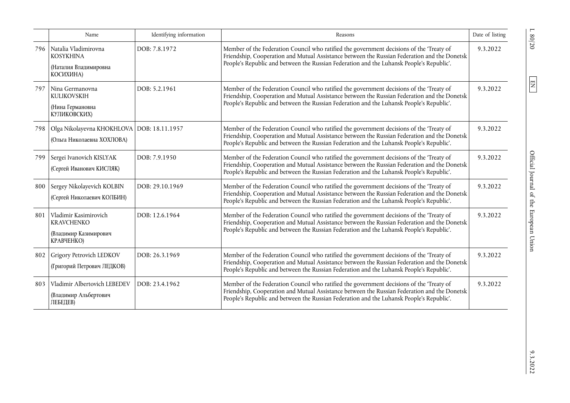|     | Name                                                                              | Identifying information | Reasons                                                                                                                                                                                                                                                                              | Date of listing |
|-----|-----------------------------------------------------------------------------------|-------------------------|--------------------------------------------------------------------------------------------------------------------------------------------------------------------------------------------------------------------------------------------------------------------------------------|-----------------|
| 796 | Natalia Vladimirovna<br><b>KOSYKHINA</b><br>(Наталия Владимировна<br>КОСИХИНА)    | DOB: 7.8.1972           | Member of the Federation Council who ratified the government decisions of the 'Treaty of<br>Friendship, Cooperation and Mutual Assistance between the Russian Federation and the Donetsk<br>People's Republic and between the Russian Federation and the Luhansk People's Republic'. | 9.3.2022        |
| 797 | Nina Germanovna<br><b>KULIKOVSKIH</b><br>(Нина Германовна<br>КУЛИКОВСКИХ)         | DOB: 5.2.1961           | Member of the Federation Council who ratified the government decisions of the 'Treaty of<br>Friendship, Cooperation and Mutual Assistance between the Russian Federation and the Donetsk<br>People's Republic and between the Russian Federation and the Luhansk People's Republic'. | 9.3.2022        |
| 798 | Olga Nikolayevna KHOKHLOVA   DOB: 18.11.1957<br>(Ольга Николаевна ХОХЛОВА)        |                         | Member of the Federation Council who ratified the government decisions of the 'Treaty of<br>Friendship, Cooperation and Mutual Assistance between the Russian Federation and the Donetsk<br>People's Republic and between the Russian Federation and the Luhansk People's Republic'. | 9.3.2022        |
| 799 | Sergei Ivanovich KISLYAK<br>(Сергей Иванович КИСЛЯК)                              | DOB: 7.9.1950           | Member of the Federation Council who ratified the government decisions of the 'Treaty of<br>Friendship, Cooperation and Mutual Assistance between the Russian Federation and the Donetsk<br>People's Republic and between the Russian Federation and the Luhansk People's Republic'. | 9.3.2022        |
| 800 | Sergey Nikolayevich KOLBIN<br>(Сергей Николаевич КОЛБИН)                          | DOB: 29.10.1969         | Member of the Federation Council who ratified the government decisions of the 'Treaty of<br>Friendship, Cooperation and Mutual Assistance between the Russian Federation and the Donetsk<br>People's Republic and between the Russian Federation and the Luhansk People's Republic'. | 9.3.2022        |
| 801 | Vladimir Kasimirovich<br><b>KRAVCHENKO</b><br>(Владимир Казимирович<br>КРАВЧЕНКО) | DOB: 12.6.1964          | Member of the Federation Council who ratified the government decisions of the 'Treaty of<br>Friendship, Cooperation and Mutual Assistance between the Russian Federation and the Donetsk<br>People's Republic and between the Russian Federation and the Luhansk People's Republic'. | 9.3.2022        |
| 802 | Grigory Petrovich LEDKOV<br>(Григорий Петрович ЛЕДКОВ)                            | DOB: 26.3.1969          | Member of the Federation Council who ratified the government decisions of the 'Treaty of<br>Friendship, Cooperation and Mutual Assistance between the Russian Federation and the Donetsk<br>People's Republic and between the Russian Federation and the Luhansk People's Republic'. | 9.3.2022        |
| 803 | Vladimir Albertovich LEBEDEV<br>(Владимир Альбертович<br>ЛЕБЕДЕВ)                 | DOB: 23.4.1962          | Member of the Federation Council who ratified the government decisions of the 'Treaty of<br>Friendship, Cooperation and Mutual Assistance between the Russian Federation and the Donetsk<br>People's Republic and between the Russian Federation and the Luhansk People's Republic'. | 9.3.2022        |

 $9.3.2022$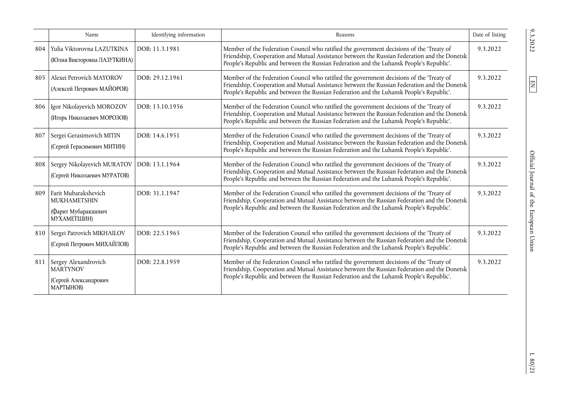|     | Name                                                                              | Identifying information | Reasons                                                                                                                                                                                                                                                                              | Date of listing |
|-----|-----------------------------------------------------------------------------------|-------------------------|--------------------------------------------------------------------------------------------------------------------------------------------------------------------------------------------------------------------------------------------------------------------------------------|-----------------|
| 804 | Yulia Viktorovna LAZUTKINA<br>(Юлия Викторовна ЛАЗУТКИНА)                         | DOB: 11.3.1981          | Member of the Federation Council who ratified the government decisions of the 'Treaty of<br>Friendship, Cooperation and Mutual Assistance between the Russian Federation and the Donetsk<br>People's Republic and between the Russian Federation and the Luhansk People's Republic'. | 9.3.2022        |
| 805 | Alexei Petrovich MAYOROV<br>(Алексей Петрович МАЙОРОВ)                            | DOB: 29.12.1961         | Member of the Federation Council who ratified the government decisions of the 'Treaty of<br>Friendship, Cooperation and Mutual Assistance between the Russian Federation and the Donetsk<br>People's Republic and between the Russian Federation and the Luhansk People's Republic'. | 9.3.2022        |
| 806 | Igor Nikolayevich MOROZOV<br>(Игорь Николаевич МОРОЗОВ)                           | DOB: 13.10.1956         | Member of the Federation Council who ratified the government decisions of the 'Treaty of<br>Friendship, Cooperation and Mutual Assistance between the Russian Federation and the Donetsk<br>People's Republic and between the Russian Federation and the Luhansk People's Republic'. | 9.3.2022        |
| 807 | Sergei Gerasimovich MITIN<br>(Сергей Герасимович МИТИН)                           | DOB: 14.6.1951          | Member of the Federation Council who ratified the government decisions of the 'Treaty of<br>Friendship, Cooperation and Mutual Assistance between the Russian Federation and the Donetsk<br>People's Republic and between the Russian Federation and the Luhansk People's Republic'. | 9.3.2022        |
| 808 | Sergey Nikolayevich MURATOV<br>(Сергей Николаевич МУРАТОВ)                        | DOB: 13.1.1964          | Member of the Federation Council who ratified the government decisions of the 'Treaty of<br>Friendship, Cooperation and Mutual Assistance between the Russian Federation and the Donetsk<br>People's Republic and between the Russian Federation and the Luhansk People's Republic'. | 9.3.2022        |
| 809 | Farit Mubarakshevich<br>MUKHAMETSHIN<br>(Фарит Мубаракшевич<br>МУХАМЕТШИН)        | DOB: 31.1.1947          | Member of the Federation Council who ratified the government decisions of the 'Treaty of<br>Friendship, Cooperation and Mutual Assistance between the Russian Federation and the Donetsk<br>People's Republic and between the Russian Federation and the Luhansk People's Republic'. | 9.3.2022        |
|     | 810 Sergei Patrovich MIKHAILOV<br>(Сергей Петрович МИХАЙЛОВ)                      | DOB: 22.5.1965          | Member of the Federation Council who ratified the government decisions of the 'Treaty of<br>Friendship, Cooperation and Mutual Assistance between the Russian Federation and the Donetsk<br>People's Republic and between the Russian Federation and the Luhansk People's Republic'. | 9.3.2022        |
|     | 811 Sergey Alexandrovich<br><b>MARTYNOV</b><br>(Сергей Александрович<br>МАРТЫНОВ) | DOB: 22.8.1959          | Member of the Federation Council who ratified the government decisions of the 'Treaty of<br>Friendship, Cooperation and Mutual Assistance between the Russian Federation and the Donetsk<br>People's Republic and between the Russian Federation and the Luhansk People's Republic'. | 9.3.2022        |

 $\mathbb{L}$ 80/21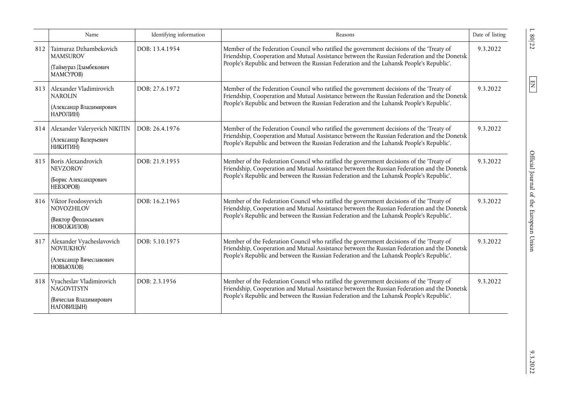|     | Name                                                                                         | Identifying information | Reasons                                                                                                                                                                                                                                                                              | Date of listing |
|-----|----------------------------------------------------------------------------------------------|-------------------------|--------------------------------------------------------------------------------------------------------------------------------------------------------------------------------------------------------------------------------------------------------------------------------------|-----------------|
| 812 | Taimuraz Dzhambekovich<br><b>MAMSUROV</b><br>(Таймураз Дзамбекович<br>MAMCYPOB)              | DOB: 13.4.1954          | Member of the Federation Council who ratified the government decisions of the 'Treaty of<br>Friendship, Cooperation and Mutual Assistance between the Russian Federation and the Donetsk<br>People's Republic and between the Russian Federation and the Luhansk People's Republic'. | 9.3.2022        |
|     | 813 Alexander Vladimirovich<br><b>NAROLIN</b><br>(Александр Владимирович<br>НАРОЛИН)         | DOB: 27.6.1972          | Member of the Federation Council who ratified the government decisions of the 'Treaty of<br>Friendship, Cooperation and Mutual Assistance between the Russian Federation and the Donetsk<br>People's Republic and between the Russian Federation and the Luhansk People's Republic'. | 9.3.2022        |
| 814 | Alexander Valeryevich NIKITIN<br>(Александр Валерьевич<br>НИКИТИН)                           | DOB: 26.4.1976          | Member of the Federation Council who ratified the government decisions of the 'Treaty of<br>Friendship, Cooperation and Mutual Assistance between the Russian Federation and the Donetsk<br>People's Republic and between the Russian Federation and the Luhansk People's Republic'. | 9.3.2022        |
|     | 815 Boris Alexandrovich<br><b>NEVZOROV</b><br>(Борис Александрович<br>HEB3OPOB)              | DOB: 21.9.1955          | Member of the Federation Council who ratified the government decisions of the 'Treaty of<br>Friendship, Cooperation and Mutual Assistance between the Russian Federation and the Donetsk<br>People's Republic and between the Russian Federation and the Luhansk People's Republic'. | 9.3.2022        |
| 816 | Viktor Feodosyevich<br>NOVOZHILOV<br>(Виктор Феодосьевич<br>НОВОЖИЛОВ)                       | DOB: 16.2.1965          | Member of the Federation Council who ratified the government decisions of the 'Treaty of<br>Friendship, Cooperation and Mutual Assistance between the Russian Federation and the Donetsk<br>People's Republic and between the Russian Federation and the Luhansk People's Republic'. | 9.3.2022        |
| 817 | Alexander Vyacheslavovich<br><b>NOVIUKHOV</b><br>(Александр Вячеславович<br><b>НОВЬЮХОВ)</b> | DOB: 5.10.1975          | Member of the Federation Council who ratified the government decisions of the 'Treaty of<br>Friendship, Cooperation and Mutual Assistance between the Russian Federation and the Donetsk<br>People's Republic and between the Russian Federation and the Luhansk People's Republic'. | 9.3.2022        |
| 818 | Vyacheslav Vladimirovich<br><b>NAGOVITSYN</b><br>(Вячеслав Владимирович<br>НАГОВИЦЫН)        | DOB: 2.3.1956           | Member of the Federation Council who ratified the government decisions of the 'Treaty of<br>Friendship, Cooperation and Mutual Assistance between the Russian Federation and the Donetsk<br>People's Republic and between the Russian Federation and the Luhansk People's Republic'. | 9.3.2022        |

L 80/22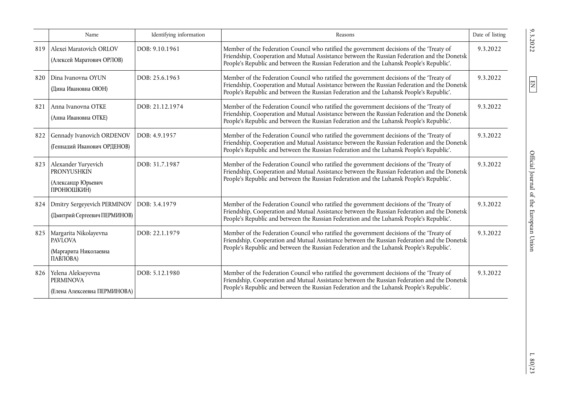|     | Name                                                                          | Identifying information | Reasons                                                                                                                                                                                                                                                                              | Date of listing |
|-----|-------------------------------------------------------------------------------|-------------------------|--------------------------------------------------------------------------------------------------------------------------------------------------------------------------------------------------------------------------------------------------------------------------------------|-----------------|
| 819 | Alexei Maratovich ORLOV<br>(Алексей Маратович ОРЛОВ)                          | DOB: 9.10.1961          | Member of the Federation Council who ratified the government decisions of the 'Treaty of<br>Friendship, Cooperation and Mutual Assistance between the Russian Federation and the Donetsk<br>People's Republic and between the Russian Federation and the Luhansk People's Republic'. | 9.3.2022        |
| 820 | Dina Ivanovna OYUN<br>(Дина Ивановна ОЮН)                                     | DOB: 25.6.1963          | Member of the Federation Council who ratified the government decisions of the 'Treaty of<br>Friendship, Cooperation and Mutual Assistance between the Russian Federation and the Donetsk<br>People's Republic and between the Russian Federation and the Luhansk People's Republic'. | 9.3.2022        |
| 821 | Anna Ivanovna OTKE<br>(Анна Ивановна ОТКЕ)                                    | DOB: 21.12.1974         | Member of the Federation Council who ratified the government decisions of the 'Treaty of<br>Friendship, Cooperation and Mutual Assistance between the Russian Federation and the Donetsk<br>People's Republic and between the Russian Federation and the Luhansk People's Republic'. | 9.3.2022        |
| 822 | Gennady Ivanovich ORDENOV<br>(Геннадий Иванович ОРДЕНОВ)                      | DOB: 4.9.1957           | Member of the Federation Council who ratified the government decisions of the 'Treaty of<br>Friendship, Cooperation and Mutual Assistance between the Russian Federation and the Donetsk<br>People's Republic and between the Russian Federation and the Luhansk People's Republic'. | 9.3.2022        |
| 823 | Alexander Yuryevich<br><b>PRONYUSHKIN</b><br>(Александр Юрьевич<br>ПРОНЮШКИН) | DOB: 31.7.1987          | Member of the Federation Council who ratified the government decisions of the 'Treaty of<br>Friendship, Cooperation and Mutual Assistance between the Russian Federation and the Donetsk<br>People's Republic and between the Russian Federation and the Luhansk People's Republic'. | 9.3.2022        |
| 824 | Dmitry Sergeyevich PERMINOV<br>(Дмитрий Сергеевич ПЕРМИНОВ)                   | DOB: 3.4.1979           | Member of the Federation Council who ratified the government decisions of the 'Treaty of<br>Friendship, Cooperation and Mutual Assistance between the Russian Federation and the Donetsk<br>People's Republic and between the Russian Federation and the Luhansk People's Republic'. | 9.3.2022        |
| 825 | Margarita Nikolayevna<br><b>PAVLOVA</b><br>(Маргарита Николаевна<br>ПАВЛОВА)  | DOB: 22.1.1979          | Member of the Federation Council who ratified the government decisions of the 'Treaty of<br>Friendship, Cooperation and Mutual Assistance between the Russian Federation and the Donetsk<br>People's Republic and between the Russian Federation and the Luhansk People's Republic'. | 9.3.2022        |
| 826 | Yelena Alekseyevna<br><b>PERMINOVA</b><br>(Елена Алексеевна ПЕРМИНОВА)        | DOB: 5.12.1980          | Member of the Federation Council who ratified the government decisions of the 'Treaty of<br>Friendship, Cooperation and Mutual Assistance between the Russian Federation and the Donetsk<br>People's Republic and between the Russian Federation and the Luhansk People's Republic'. | 9.3.2022        |

 $9.3.2022$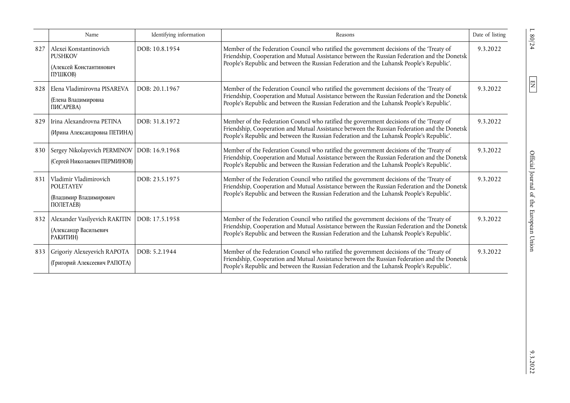|     | Name                                                                                    | Identifying information | Reasons                                                                                                                                                                                                                                                                              | Date of listing |
|-----|-----------------------------------------------------------------------------------------|-------------------------|--------------------------------------------------------------------------------------------------------------------------------------------------------------------------------------------------------------------------------------------------------------------------------------|-----------------|
| 827 | Alexei Konstantinovich<br><b>PUSHKOV</b><br>(Алексей Константинович<br>ПУШКОВ)          | DOB: 10.8.1954          | Member of the Federation Council who ratified the government decisions of the 'Treaty of<br>Friendship, Cooperation and Mutual Assistance between the Russian Federation and the Donetsk<br>People's Republic and between the Russian Federation and the Luhansk People's Republic'. | 9.3.2022        |
| 828 | Elena Vladimirovna PISAREVA<br>(Елена Владимировна<br>ПИСАРЕВА)                         | DOB: 20.1.1967          | Member of the Federation Council who ratified the government decisions of the 'Treaty of<br>Friendship, Cooperation and Mutual Assistance between the Russian Federation and the Donetsk<br>People's Republic and between the Russian Federation and the Luhansk People's Republic'. | 9.3.2022        |
| 829 | Irina Alexandrovna PETINA<br>(Ирина Александровна ПЕТИНА)                               | DOB: 31.8.1972          | Member of the Federation Council who ratified the government decisions of the 'Treaty of<br>Friendship, Cooperation and Mutual Assistance between the Russian Federation and the Donetsk<br>People's Republic and between the Russian Federation and the Luhansk People's Republic'. | 9.3.2022        |
|     | 830 Sergey Nikolayevich PERMINOV DOB: 16.9.1968<br>(Сергей Николаевич ПЕРМИНОВ)         |                         | Member of the Federation Council who ratified the government decisions of the 'Treaty of<br>Friendship, Cooperation and Mutual Assistance between the Russian Federation and the Donetsk<br>People's Republic and between the Russian Federation and the Luhansk People's Republic'. | 9.3.2022        |
|     | 831   Vladimir Vladimirovich<br><b>POLETAYEV</b><br>(Владимир Владимирович<br>ПОЛЕТАЕВ) | DOB: 23.5.1975          | Member of the Federation Council who ratified the government decisions of the 'Treaty of<br>Friendship, Cooperation and Mutual Assistance between the Russian Federation and the Donetsk<br>People's Republic and between the Russian Federation and the Luhansk People's Republic'. | 9.3.2022        |
| 832 | Alexander Vasilyevich RAKITIN<br>(Александр Васильевич<br>РАКИТИН)                      | DOB: 17.5.1958          | Member of the Federation Council who ratified the government decisions of the 'Treaty of<br>Friendship, Cooperation and Mutual Assistance between the Russian Federation and the Donetsk<br>People's Republic and between the Russian Federation and the Luhansk People's Republic'. | 9.3.2022        |
| 833 | Grigoriy Alexeyevich RAPOTA<br>(Григорий Алексеевич РАПОТА)                             | DOB: 5.2.1944           | Member of the Federation Council who ratified the government decisions of the 'Treaty of<br>Friendship, Cooperation and Mutual Assistance between the Russian Federation and the Donetsk<br>People's Republic and between the Russian Federation and the Luhansk People's Republic'. | 9.3.2022        |

 $L80/24$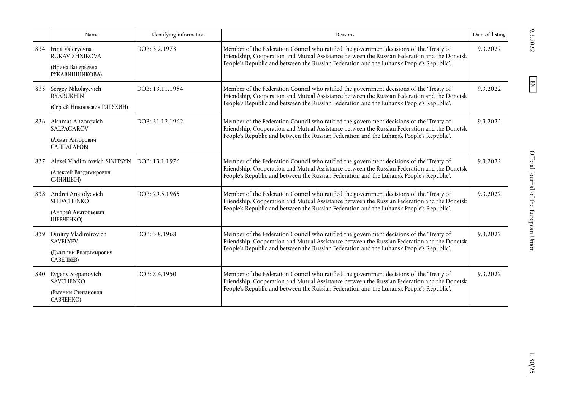|     | Name                                                                             | Identifying information | Reasons                                                                                                                                                                                                                                                                              | Date of listing |
|-----|----------------------------------------------------------------------------------|-------------------------|--------------------------------------------------------------------------------------------------------------------------------------------------------------------------------------------------------------------------------------------------------------------------------------|-----------------|
| 834 | Irina Valeryevna<br><b>RUKAVISHNIKOVA</b><br>(Ирина Валерьевна<br>РУКАВИШНИКОВА) | DOB: 3.2.1973           | Member of the Federation Council who ratified the government decisions of the 'Treaty of<br>Friendship, Cooperation and Mutual Assistance between the Russian Federation and the Donetsk<br>People's Republic and between the Russian Federation and the Luhansk People's Republic'. | 9.3.2022        |
| 835 | Sergey Nikolayevich<br><b>RYABUKHIN</b><br>(Сергей Николаевич РЯБУХИН)           | DOB: 13.11.1954         | Member of the Federation Council who ratified the government decisions of the 'Treaty of<br>Friendship, Cooperation and Mutual Assistance between the Russian Federation and the Donetsk<br>People's Republic and between the Russian Federation and the Luhansk People's Republic'. | 9.3.2022        |
| 836 | Akhmat Anzorovich<br><b>SALPAGAROV</b><br>(Ахмат Анзорович<br>САЛПАГАРОВ)        | DOB: 31.12.1962         | Member of the Federation Council who ratified the government decisions of the 'Treaty of<br>Friendship, Cooperation and Mutual Assistance between the Russian Federation and the Donetsk<br>People's Republic and between the Russian Federation and the Luhansk People's Republic'. | 9.3.2022        |
| 837 | Alexei Vladimirovich SINITSYN<br>(Алексей Владимирович<br>СИНИЦЫН)               | DOB: 13.1.1976          | Member of the Federation Council who ratified the government decisions of the 'Treaty of<br>Friendship, Cooperation and Mutual Assistance between the Russian Federation and the Donetsk<br>People's Republic and between the Russian Federation and the Luhansk People's Republic'. | 9.3.2022        |
| 838 | Andrei Anatolyevich<br><b>SHEVCHENKO</b><br>(Андрей Анатольевич<br>ШЕВЧЕНКО)     | DOB: 29.5.1965          | Member of the Federation Council who ratified the government decisions of the 'Treaty of<br>Friendship, Cooperation and Mutual Assistance between the Russian Federation and the Donetsk<br>People's Republic and between the Russian Federation and the Luhansk People's Republic'. | 9.3.2022        |
| 839 | Dmitry Vladimirovich<br><b>SAVELYEV</b><br>(Дмитрий Владимирович<br>САВЕЛЬЕВ)    | DOB: 3.8.1968           | Member of the Federation Council who ratified the government decisions of the 'Treaty of<br>Friendship, Cooperation and Mutual Assistance between the Russian Federation and the Donetsk<br>People's Republic and between the Russian Federation and the Luhansk People's Republic'. | 9.3.2022        |
| 840 | Evgeny Stepanovich<br><b>SAVCHENKO</b><br>(Евгений Степанович<br>САВЧЕНКО)       | DOB: 8.4.1950           | Member of the Federation Council who ratified the government decisions of the 'Treaty of<br>Friendship, Cooperation and Mutual Assistance between the Russian Federation and the Donetsk<br>People's Republic and between the Russian Federation and the Luhansk People's Republic'. | 9.3.2022        |

 $L$  80/25  $\,$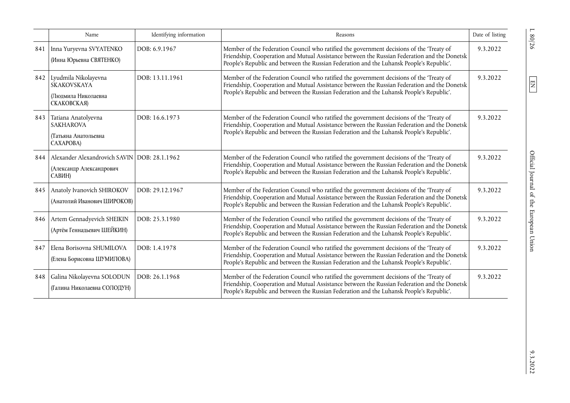|     | Name                                                                               | Identifying information | Reasons                                                                                                                                                                                                                                                                              | Date of listing |
|-----|------------------------------------------------------------------------------------|-------------------------|--------------------------------------------------------------------------------------------------------------------------------------------------------------------------------------------------------------------------------------------------------------------------------------|-----------------|
| 841 | Inna Yuryevna SVYATENKO<br>(Инна Юрьевна СВЯТЕНКО)                                 | DOB: 6.9.1967           | Member of the Federation Council who ratified the government decisions of the 'Treaty of<br>Friendship, Cooperation and Mutual Assistance between the Russian Federation and the Donetsk<br>People's Republic and between the Russian Federation and the Luhansk People's Republic'. | 9.3.2022        |
| 842 | Lyudmila Nikolayevna<br><b>SKAKOVSKAYA</b><br>(Людмила Николаевна<br>СКАКОВСКАЯ)   | DOB: 13.11.1961         | Member of the Federation Council who ratified the government decisions of the 'Treaty of<br>Friendship, Cooperation and Mutual Assistance between the Russian Federation and the Donetsk<br>People's Republic and between the Russian Federation and the Luhansk People's Republic'. | 9.3.2022        |
| 843 | Tatiana Anatolyevna<br><b>SAKHAROVA</b><br>(Татьяна Анатольевна<br>CAXAPOBA)       | DOB: 16.6.1973          | Member of the Federation Council who ratified the government decisions of the 'Treaty of<br>Friendship, Cooperation and Mutual Assistance between the Russian Federation and the Donetsk<br>People's Republic and between the Russian Federation and the Luhansk People's Republic'. | 9.3.2022        |
| 844 | Alexander Alexandrovich SAVIN DOB: 28.1.1962<br>(Александр Александрович<br>САВИН) |                         | Member of the Federation Council who ratified the government decisions of the 'Treaty of<br>Friendship, Cooperation and Mutual Assistance between the Russian Federation and the Donetsk<br>People's Republic and between the Russian Federation and the Luhansk People's Republic'. | 9.3.2022        |
| 845 | Anatoly Ivanovich SHIROKOV<br>(Анатолий Иванович ШИРОКОВ)                          | DOB: 29.12.1967         | Member of the Federation Council who ratified the government decisions of the 'Treaty of<br>Friendship, Cooperation and Mutual Assistance between the Russian Federation and the Donetsk<br>People's Republic and between the Russian Federation and the Luhansk People's Republic'. | 9.3.2022        |
| 846 | Artem Gennadyevich SHEIKIN<br>(Артём Геннадьевич ШЕЙКИН)                           | DOB: 25.3.1980          | Member of the Federation Council who ratified the government decisions of the 'Treaty of<br>Friendship, Cooperation and Mutual Assistance between the Russian Federation and the Donetsk<br>People's Republic and between the Russian Federation and the Luhansk People's Republic'. | 9.3.2022        |
| 847 | Elena Borisovna SHUMILOVA<br>(Елена Борисовна ШУМИЛОВА)                            | DOB: 1.4.1978           | Member of the Federation Council who ratified the government decisions of the 'Treaty of<br>Friendship, Cooperation and Mutual Assistance between the Russian Federation and the Donetsk<br>People's Republic and between the Russian Federation and the Luhansk People's Republic'. | 9.3.2022        |
| 848 | Galina Nikolayevna SOLODUN<br>(Галина Николаевна СОЛОДУН)                          | DOB: 26.1.1968          | Member of the Federation Council who ratified the government decisions of the 'Treaty of<br>Friendship, Cooperation and Mutual Assistance between the Russian Federation and the Donetsk<br>People's Republic and between the Russian Federation and the Luhansk People's Republic'. | 9.3.2022        |

 $9.3.2022$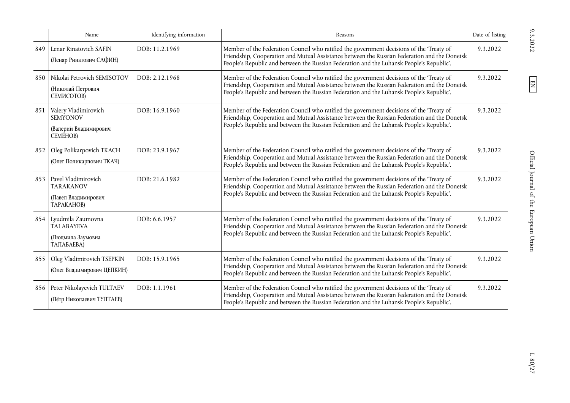|     | Name                                                                                 | Identifying information | Reasons                                                                                                                                                                                                                                                                              | Date of listing |
|-----|--------------------------------------------------------------------------------------|-------------------------|--------------------------------------------------------------------------------------------------------------------------------------------------------------------------------------------------------------------------------------------------------------------------------------|-----------------|
| 849 | Lenar Rinatovich SAFIN<br>(Ленар Ринатович САФИН)                                    | DOB: 11.2.1969          | Member of the Federation Council who ratified the government decisions of the 'Treaty of<br>Friendship, Cooperation and Mutual Assistance between the Russian Federation and the Donetsk<br>People's Republic and between the Russian Federation and the Luhansk People's Republic'. | 9.3.2022        |
| 850 | Nikolai Petrovich SEMISOTOV<br>(Николай Петрович<br><b>СЕМИСОТОВ)</b>                | DOB: 2.12.1968          | Member of the Federation Council who ratified the government decisions of the 'Treaty of<br>Friendship, Cooperation and Mutual Assistance between the Russian Federation and the Donetsk<br>People's Republic and between the Russian Federation and the Luhansk People's Republic'. | 9.3.2022        |
| 851 | Valery Vladimirovich<br><b>SEMYONOV</b><br>(Валерий Владимирович<br><b>CEMËHOB</b> ) | DOB: 16.9.1960          | Member of the Federation Council who ratified the government decisions of the 'Treaty of<br>Friendship, Cooperation and Mutual Assistance between the Russian Federation and the Donetsk<br>People's Republic and between the Russian Federation and the Luhansk People's Republic'. | 9.3.2022        |
| 852 | Oleg Polikarpovich TKACH<br>(Олег Поликарпович ТКАЧ)                                 | DOB: 23.9.1967          | Member of the Federation Council who ratified the government decisions of the 'Treaty of<br>Friendship, Cooperation and Mutual Assistance between the Russian Federation and the Donetsk<br>People's Republic and between the Russian Federation and the Luhansk People's Republic'. | 9.3.2022        |
| 853 | Pavel Vladimirovich<br><b>TARAKANOV</b><br>(Павел Владимирович<br>TAPAKAHOB)         | DOB: 21.6.1982          | Member of the Federation Council who ratified the government decisions of the 'Treaty of<br>Friendship, Cooperation and Mutual Assistance between the Russian Federation and the Donetsk<br>People's Republic and between the Russian Federation and the Luhansk People's Republic'. | 9.3.2022        |
| 854 | Lyudmila Zaumovna<br><b>TALABAYEVA</b><br>(Людмила Заумовна<br>ТАЛАБАЕВА)            | DOB: 6.6.1957           | Member of the Federation Council who ratified the government decisions of the 'Treaty of<br>Friendship, Cooperation and Mutual Assistance between the Russian Federation and the Donetsk<br>People's Republic and between the Russian Federation and the Luhansk People's Republic'. | 9.3.2022        |
| 855 | Oleg Vladimirovich TSEPKIN<br>(Олег Владимирович ЦЕПКИН)                             | DOB: 15.9.1965          | Member of the Federation Council who ratified the government decisions of the 'Treaty of<br>Friendship, Cooperation and Mutual Assistance between the Russian Federation and the Donetsk<br>People's Republic and between the Russian Federation and the Luhansk People's Republic'. | 9.3.2022        |
| 856 | Peter Nikolayevich TULTAEV<br>(Пётр Николаевич ТУЛТАЕВ)                              | DOB: 1.1.1961           | Member of the Federation Council who ratified the government decisions of the 'Treaty of<br>Friendship, Cooperation and Mutual Assistance between the Russian Federation and the Donetsk<br>People's Republic and between the Russian Federation and the Luhansk People's Republic'. | 9.3.2022        |

 $L$  80/27  $\,$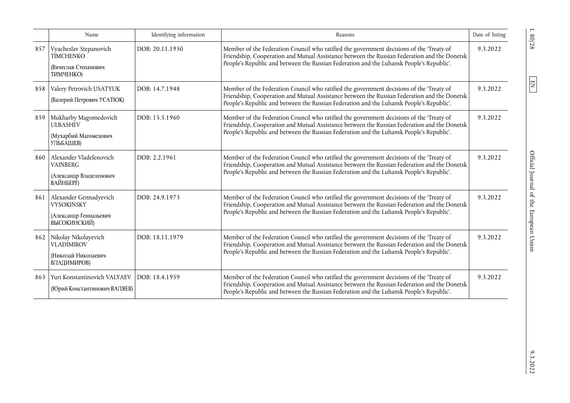|     | Name                                                                               | Identifying information | Reasons                                                                                                                                                                                                                                                                              | Date of listing |
|-----|------------------------------------------------------------------------------------|-------------------------|--------------------------------------------------------------------------------------------------------------------------------------------------------------------------------------------------------------------------------------------------------------------------------------|-----------------|
| 857 | Vyacheslav Stepanovich<br><b>TIMCHENKO</b><br>(Вячеслав Степанович<br>ТИМЧЕНКО)    | DOB: 20.11.1950         | Member of the Federation Council who ratified the government decisions of the 'Treaty of<br>Friendship, Cooperation and Mutual Assistance between the Russian Federation and the Donetsk<br>People's Republic and between the Russian Federation and the Luhansk People's Republic'. | 9.3.2022        |
| 858 | Valery Petrovich USATYUK<br>(Валерий Петрович УСАТЮК)                              | DOB: 14.7.1948          | Member of the Federation Council who ratified the government decisions of the 'Treaty of<br>Friendship, Cooperation and Mutual Assistance between the Russian Federation and the Donetsk<br>People's Republic and between the Russian Federation and the Luhansk People's Republic'. | 9.3.2022        |
| 859 | Mukharby Magomedovich<br><b>ULBASHEV</b><br>(Мухарбий Магомедович<br>УЛЬБАШЕВ)     | DOB: 15.5.1960          | Member of the Federation Council who ratified the government decisions of the 'Treaty of<br>Friendship, Cooperation and Mutual Assistance between the Russian Federation and the Donetsk<br>People's Republic and between the Russian Federation and the Luhansk People's Republic'. | 9.3.2022        |
| 860 | Alexander Vladelenovich<br><b>VAINBERG</b><br>(Александр Владеленович<br>ВАЙНБЕРГ) | DOB: 2.2.1961           | Member of the Federation Council who ratified the government decisions of the 'Treaty of<br>Friendship, Cooperation and Mutual Assistance between the Russian Federation and the Donetsk<br>People's Republic and between the Russian Federation and the Luhansk People's Republic'. | 9.3.2022        |
| 861 | Alexander Gennadyevich<br>VYSOKINSKY<br>(Александр Геннадьевич<br>ВЫСОКИНСКИЙ)     | DOB: 24.9.1973          | Member of the Federation Council who ratified the government decisions of the 'Treaty of<br>Friendship, Cooperation and Mutual Assistance between the Russian Federation and the Donetsk<br>People's Republic and between the Russian Federation and the Luhansk People's Republic'. | 9.3.2022        |
| 862 | Nikolay Nikolayevich<br><b>VLADIMIROV</b><br>(Николай Николаевич<br>ВЛАДИМИРОВ)    | DOB: 18.11.1979         | Member of the Federation Council who ratified the government decisions of the 'Treaty of<br>Friendship, Cooperation and Mutual Assistance between the Russian Federation and the Donetsk<br>People's Republic and between the Russian Federation and the Luhansk People's Republic'. | 9.3.2022        |
| 863 | Yuri Konstantinovich VALYAEV<br>(Юрий Константинович ВАЛЯЕВ)                       | DOB: 18.4.1959          | Member of the Federation Council who ratified the government decisions of the 'Treaty of<br>Friendship, Cooperation and Mutual Assistance between the Russian Federation and the Donetsk<br>People's Republic and between the Russian Federation and the Luhansk People's Republic'. | 9.3.2022        |

 $L$  80/28  $\,$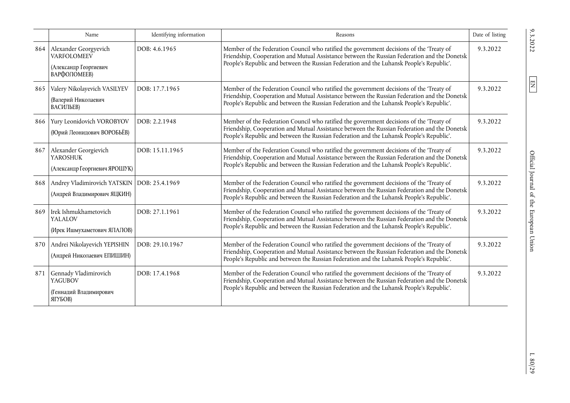|     | Name                                                                                 | Identifying information | Reasons                                                                                                                                                                                                                                                                              | Date of listing |
|-----|--------------------------------------------------------------------------------------|-------------------------|--------------------------------------------------------------------------------------------------------------------------------------------------------------------------------------------------------------------------------------------------------------------------------------|-----------------|
| 864 | Alexander Georgyevich<br><b>VARFOLOMEEV</b><br>(Александр Георгиевич<br>ВАРФОЛОМЕЕВ) | DOB: 4.6.1965           | Member of the Federation Council who ratified the government decisions of the 'Treaty of<br>Friendship, Cooperation and Mutual Assistance between the Russian Federation and the Donetsk<br>People's Republic and between the Russian Federation and the Luhansk People's Republic'. | 9.3.2022        |
| 865 | Valery Nikolayevich VASILYEV<br>(Валерий Николаевич<br>ВАСИЛЬЕВ)                     | DOB: 17.7.1965          | Member of the Federation Council who ratified the government decisions of the 'Treaty of<br>Friendship, Cooperation and Mutual Assistance between the Russian Federation and the Donetsk<br>People's Republic and between the Russian Federation and the Luhansk People's Republic'. | 9.3.2022        |
| 866 | Yury Leonidovich VOROBYOV<br>(Юрий Леонидович ВОРОБЬЁВ)                              | DOB: 2.2.1948           | Member of the Federation Council who ratified the government decisions of the 'Treaty of<br>Friendship, Cooperation and Mutual Assistance between the Russian Federation and the Donetsk<br>People's Republic and between the Russian Federation and the Luhansk People's Republic'. | 9.3.2022        |
| 867 | Alexander Georgievich<br><b>YAROSHUK</b><br>(Александр Георгиевич ЯРОШУК)            | DOB: 15.11.1965         | Member of the Federation Council who ratified the government decisions of the 'Treaty of<br>Friendship, Cooperation and Mutual Assistance between the Russian Federation and the Donetsk<br>People's Republic and between the Russian Federation and the Luhansk People's Republic'. | 9.3.2022        |
|     | 868 Andrey Vladimirovich YATSKIN DOB: 25.4.1969<br>(Андрей Владимирович ЯЦКИН)       |                         | Member of the Federation Council who ratified the government decisions of the 'Treaty of<br>Friendship, Cooperation and Mutual Assistance between the Russian Federation and the Donetsk<br>People's Republic and between the Russian Federation and the Luhansk People's Republic'. | 9.3.2022        |
| 869 | Irek Ishmukhametovich<br><b>YALALOV</b><br>(Ирек Ишмухаметович ЯПАЛОВ)               | DOB: 27.1.1961          | Member of the Federation Council who ratified the government decisions of the 'Treaty of<br>Friendship, Cooperation and Mutual Assistance between the Russian Federation and the Donetsk<br>People's Republic and between the Russian Federation and the Luhansk People's Republic'. | 9.3.2022        |
| 870 | Andrei Nikolayevich YEPISHIN<br>(Андрей Николаевич ЕПИШИН)                           | DOB: 29.10.1967         | Member of the Federation Council who ratified the government decisions of the 'Treaty of<br>Friendship, Cooperation and Mutual Assistance between the Russian Federation and the Donetsk<br>People's Republic and between the Russian Federation and the Luhansk People's Republic'. | 9.3.2022        |
| 871 | Gennady Vladimirovich<br><b>YAGUBOV</b><br>(Геннадий Владимирович<br>ЯГУБОВ)         | DOB: 17.4.1968          | Member of the Federation Council who ratified the government decisions of the 'Treaty of<br>Friendship, Cooperation and Mutual Assistance between the Russian Federation and the Donetsk<br>People's Republic and between the Russian Federation and the Luhansk People's Republic'. | 9.3.2022        |

 $L$ 80/29